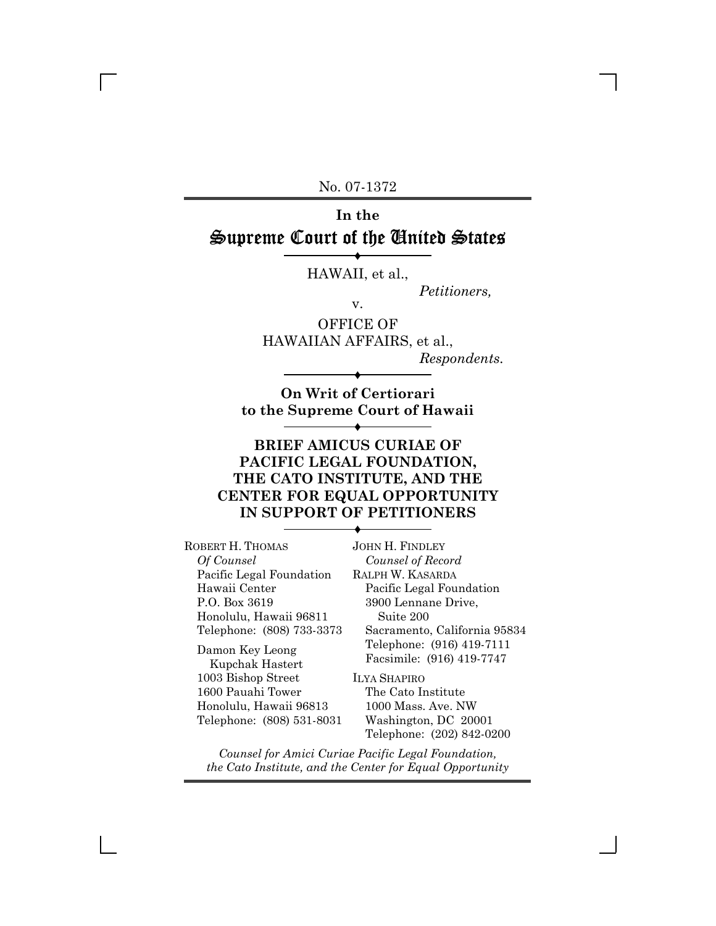No. 07-1372

# **In the** Supreme Court of the United States

Ë HAWAII, et al.,

*Petitioners,*

v.

OFFICE OF HAWAIIAN AFFAIRS, et al., *Respondents.*

**On Writ of Certiorari to the Supreme Court of Hawaii**

Ë

Ë

## **BRIEF AMICUS CURIAE OF PACIFIC LEGAL FOUNDATION, THE CATO INSTITUTE, AND THE CENTER FOR EQUAL OPPORTUNITY IN SUPPORT OF PETITIONERS**

Ë

ROBERT H. THOMAS *Of Counsel* Pacific Legal Foundation Hawaii Center P.O. Box 3619 Honolulu, Hawaii 96811 Telephone: (808) 733-3373

Damon Key Leong Kupchak Hastert 1003 Bishop Street 1600 Pauahi Tower Honolulu, Hawaii 96813 Telephone: (808) 531-8031

JOHN H. FINDLEY *Counsel of Record* RALPH W. KASARDA Pacific Legal Foundation 3900 Lennane Drive, Suite 200 Sacramento, California 95834 Telephone: (916) 419-7111 Facsimile: (916) 419-7747

ILYA SHAPIRO The Cato Institute 1000 Mass. Ave. NW Washington, DC 20001 Telephone: (202) 842-0200

*Counsel for Amici Curiae Pacific Legal Foundation, the Cato Institute, and the Center for Equal Opportunity*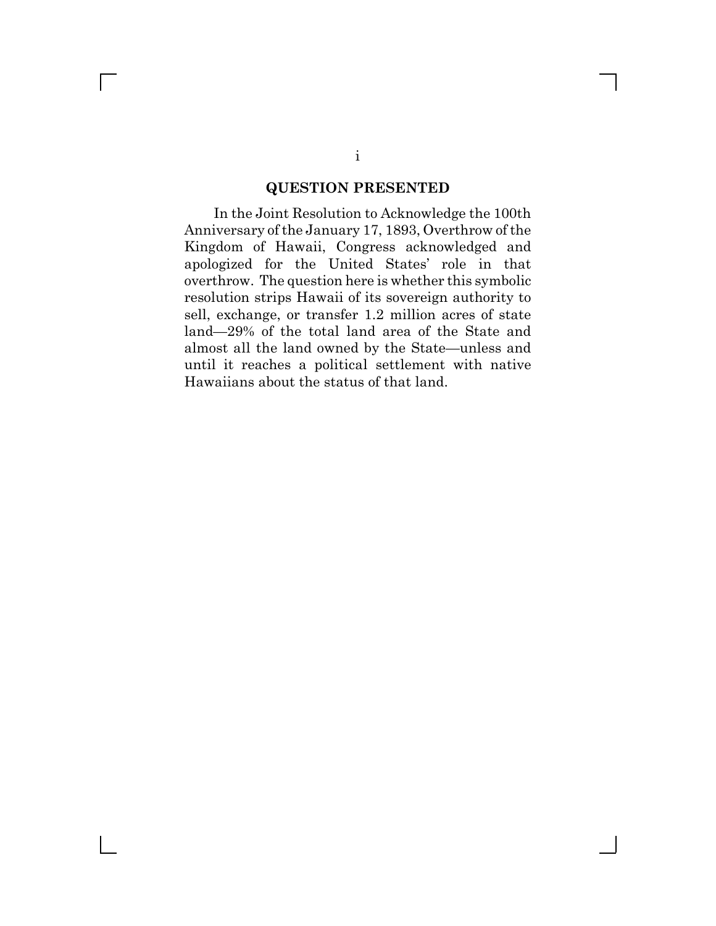### **QUESTION PRESENTED**

In the Joint Resolution to Acknowledge the 100th Anniversary of the January 17, 1893, Overthrow of the Kingdom of Hawaii, Congress acknowledged and apologized for the United States' role in that overthrow. The question here is whether this symbolic resolution strips Hawaii of its sovereign authority to sell, exchange, or transfer 1.2 million acres of state land—29% of the total land area of the State and almost all the land owned by the State—unless and until it reaches a political settlement with native Hawaiians about the status of that land.

 $\Box$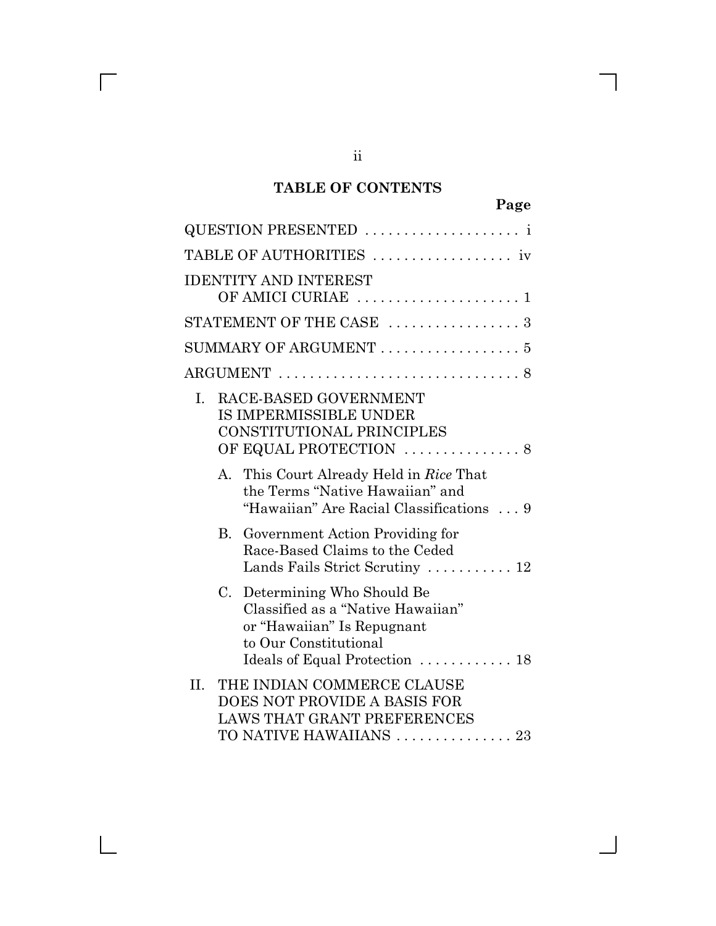## **TABLE OF CONTENTS**

| QUESTION PRESENTED                                                                                                                                            |
|---------------------------------------------------------------------------------------------------------------------------------------------------------------|
|                                                                                                                                                               |
| <b>IDENTITY AND INTEREST</b>                                                                                                                                  |
| STATEMENT OF THE CASE  3                                                                                                                                      |
| SUMMARY OF ARGUMENT  5                                                                                                                                        |
|                                                                                                                                                               |
| RACE-BASED GOVERNMENT<br>$\mathbf{I}$ .<br>IS IMPERMISSIBLE UNDER<br>CONSTITUTIONAL PRINCIPLES                                                                |
| A. This Court Already Held in Rice That<br>the Terms "Native Hawaiian" and<br>"Hawaiian" Are Racial Classifications  9                                        |
| Government Action Providing for<br>B.<br>Race-Based Claims to the Ceded<br>Lands Fails Strict Scrutiny  12                                                    |
| Determining Who Should Be<br>C.<br>Classified as a "Native Hawaiian"<br>or "Hawaiian" Is Repugnant<br>to Our Constitutional<br>Ideals of Equal Protection  18 |
| THE INDIAN COMMERCE CLAUSE<br>II.<br>DOES NOT PROVIDE A BASIS FOR<br><b>LAWS THAT GRANT PREFERENCES</b><br>TO NATIVE HAWAIIANS  23                            |

 $\overline{\Gamma}$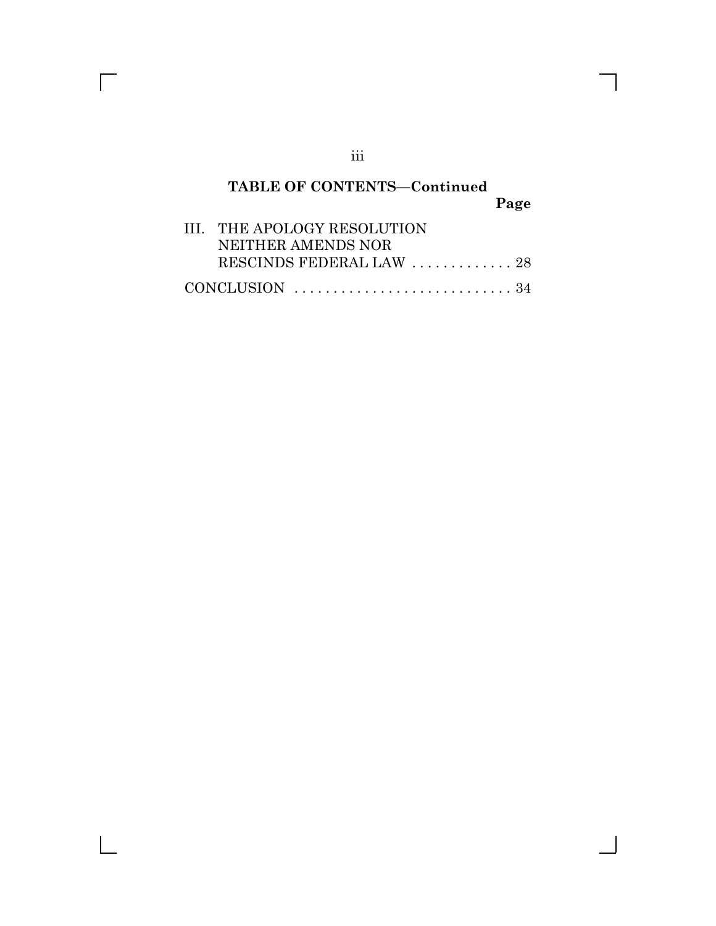# **TABLE OF CONTENTS—Continued Page**

| III. THE APOLOGY RESOLUTION                                             |  |
|-------------------------------------------------------------------------|--|
| NEITHER AMENDS NOR                                                      |  |
| RESCINDS FEDERAL LAW  28                                                |  |
| CONCLUSION $\ldots \ldots \ldots \ldots \ldots \ldots \ldots \ldots 34$ |  |

iii

 $\overline{\Gamma}$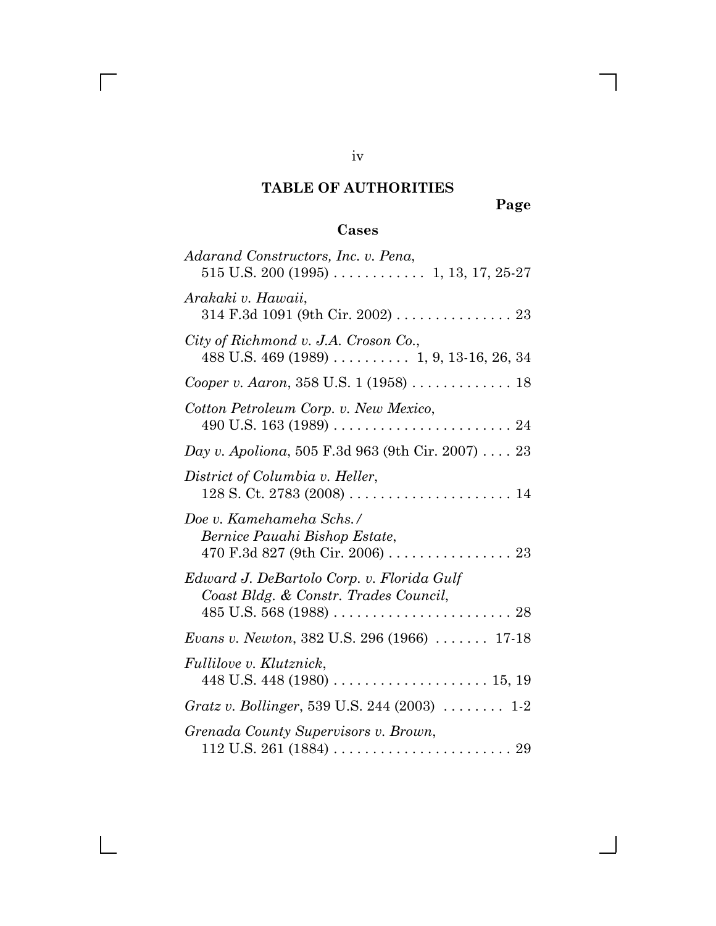# **TABLE OF AUTHORITIES**

**Page**

 $\mathbf l$ 

# **Cases**

| Adarand Constructors, Inc. v. Pena,                                                  |
|--------------------------------------------------------------------------------------|
| Arakaki v. Hawaii,<br>$314$ F.3d 1091 (9th Cir. 2002) 23                             |
| City of Richmond v. J.A. Croson Co.,<br>$488$ U.S. $469$ (1989)  1, 9, 13-16, 26, 34 |
| Cooper v. Aaron, 358 U.S. 1 (1958)  18                                               |
| Cotton Petroleum Corp. v. New Mexico,                                                |
| Day v. Apoliona, 505 F.3d 963 (9th Cir. 2007) 23                                     |
| District of Columbia v. Heller,                                                      |
| Doe v. Kamehameha Schs./<br>Bernice Pauahi Bishop Estate,                            |
| Edward J. DeBartolo Corp. v. Florida Gulf<br>Coast Bldg. & Constr. Trades Council,   |
| <i>Evans v. Newton, 382 U.S. 296 (1966) </i> 17-18                                   |
| <i>Fullilove v. Klutznick,</i>                                                       |
| Gratz v. Bollinger, 539 U.S. 244 (2003)  1-2                                         |
| Grenada County Supervisors v. Brown,                                                 |

iv

 $\overline{\Gamma}$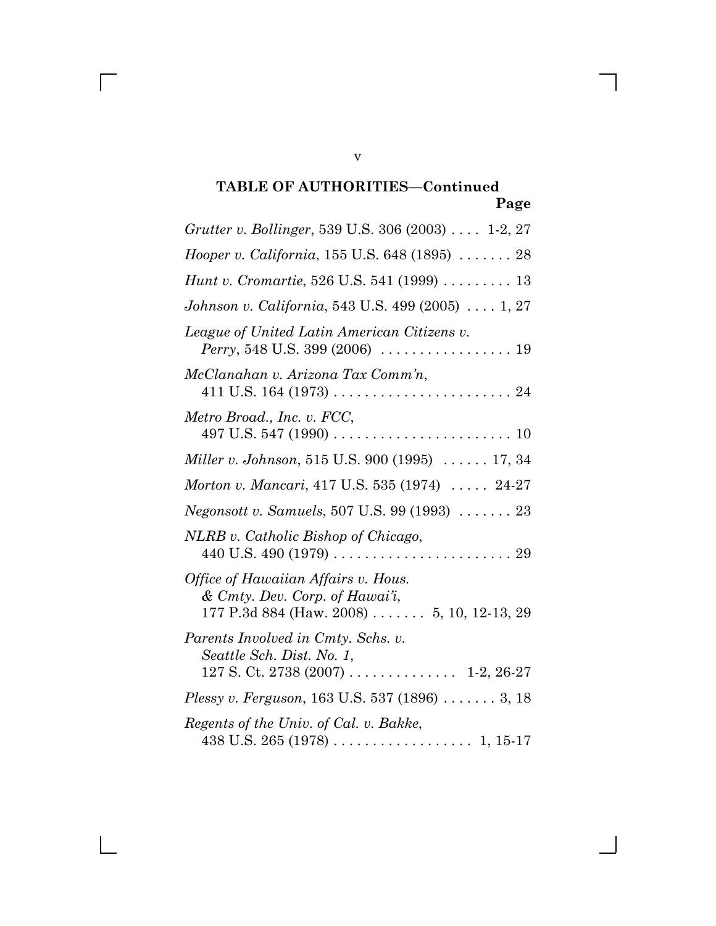# **TABLE OF AUTHORITIES—Continued Page**

| <i>Grutter v. Bollinger</i> , 539 U.S. 306 (2003)  1-2, 27                                                                            |
|---------------------------------------------------------------------------------------------------------------------------------------|
| <i>Hooper v. California</i> , $155$ U.S. $648$ (1895) $\ldots \ldots 28$                                                              |
| <i>Hunt v. Cromartie, 526 U.S. 541 (1999)  13</i>                                                                                     |
| Johnson v. California, 543 U.S. 499 (2005)  1, 27                                                                                     |
| League of United Latin American Citizens v.<br><i>Perry</i> , 548 U.S. 399 (2006) $\ldots \ldots \ldots \ldots \ldots \ldots$ 19      |
| McClanahan v. Arizona Tax Comm'n,                                                                                                     |
| Metro Broad., Inc. v. FCC,<br>497 U.S. 547 (1990) $\ldots \ldots \ldots \ldots \ldots \ldots \ldots \ldots \ldots 10$                 |
| Miller v. Johnson, 515 U.S. 900 (1995)  17, 34                                                                                        |
| Morton v. Mancari, 417 U.S. 535 (1974)  24-27                                                                                         |
| <i>Negonsott v. Samuels</i> , 507 U.S. 99 (1993)  23                                                                                  |
| NLRB v. Catholic Bishop of Chicago,                                                                                                   |
| Office of Hawaiian Affairs v. Hous.<br>$&$ Cmty. Dev. Corp. of Hawai'i,<br>177 P.3d 884 (Haw. 2008) $\ldots \ldots 5$ , 10, 12-13, 29 |
| Parents Involved in Cmty. Schs. v.<br>Seattle Sch. Dist. No. 1,                                                                       |
| <i>Plessy v. Ferguson</i> , 163 U.S. 537 (1896) $\ldots$ 3, 18                                                                        |
| Regents of the Univ. of Cal. v. Bakke,                                                                                                |

v

 $\overline{\Gamma}$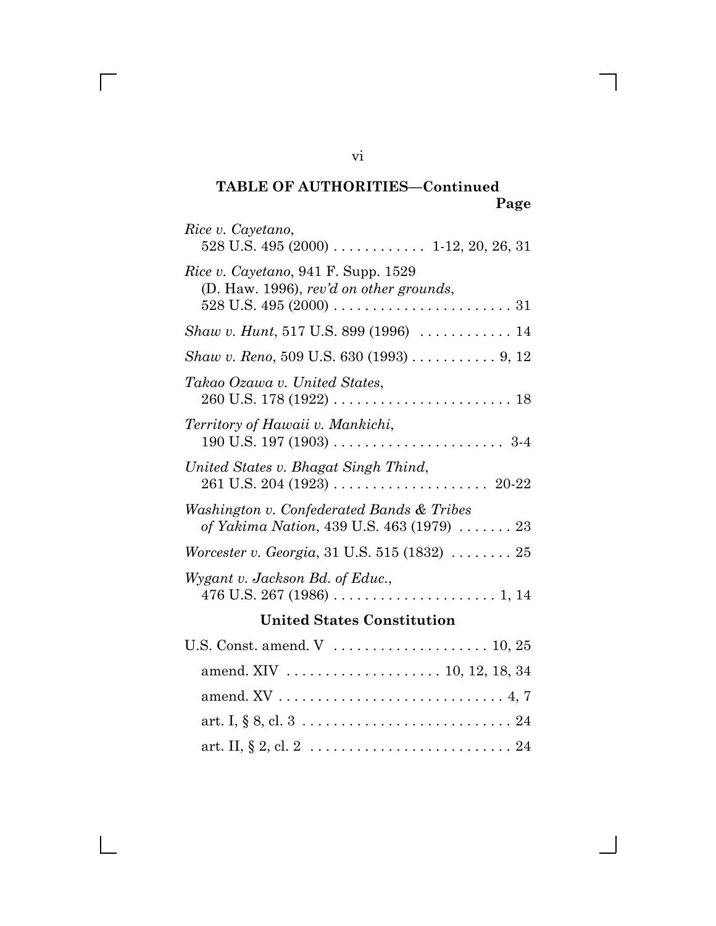# **TABLE OF AUTHORITIES—Continued Page**

| Rice v. Cayetano,                                                                      |
|----------------------------------------------------------------------------------------|
| Rice v. Cayetano, 941 F. Supp. 1529<br>(D. Haw. 1996), rev'd on other grounds,         |
| Shaw v. Hunt, 517 U.S. 899 (1996)  14                                                  |
| Shaw v. Reno, 509 U.S. 630 (1993) 9, 12                                                |
| Takao Ozawa v. United States,                                                          |
| Territory of Hawaii v. Mankichi,                                                       |
| United States v. Bhagat Singh Thind,                                                   |
| Washington v. Confederated Bands & Tribes<br>of Yakima Nation, 439 U.S. 463 (1979)  23 |
| <i>Worcester v. Georgia, 31 U.S.</i> 515 (1832) $\ldots \ldots \ldots 25$              |
| Wygant v. Jackson Bd. of Educ.,                                                        |
| <b>United States Constitution</b>                                                      |
|                                                                                        |
|                                                                                        |
|                                                                                        |
|                                                                                        |
|                                                                                        |

vi

 $\overline{\Gamma}$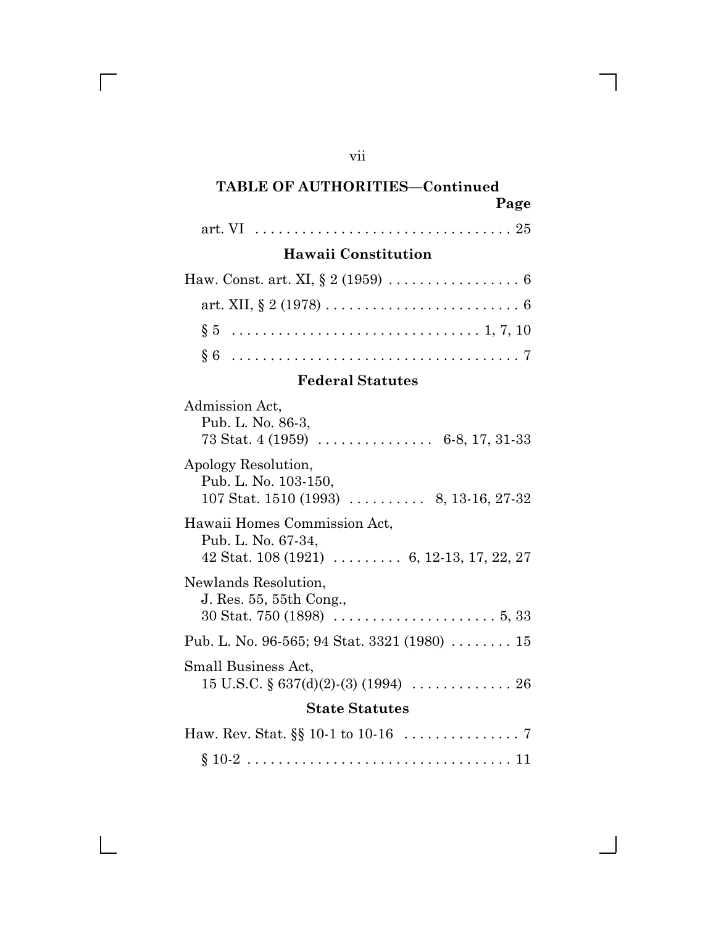# vii

 $\overline{\Gamma}$ 

 $\mathbf{L}$ 

## **TABLE OF AUTHORITIES—Continued Page**

|--|--|--|--|--|

## **Hawaii Constitution**

## **Federal Statutes**

| Admission Act,<br>Pub. L. No. 86-3,<br>73 Stat. 4 (1959) $\ldots$ 6-8, 17, 31-33                                                          |
|-------------------------------------------------------------------------------------------------------------------------------------------|
| Apology Resolution,<br>Pub. L. No. 103-150,<br>107 Stat. 1510 (1993) $\ldots$ 8, 13-16, 27-32                                             |
| Hawaii Homes Commission Act,<br>Pub. L. No. 67-34,<br>42 Stat. $108(1921)$ 6, 12-13, 17, 22, 27                                           |
| Newlands Resolution,<br>J. Res. 55, 55th Cong.,<br>$30 \text{ Stat. } 750 \text{ (1898)} \ldots \ldots \ldots \ldots \ldots \ldots 5, 33$ |
| Pub. L. No. 96-565; 94 Stat. 3321 (1980) $\ldots \ldots \ldots 15$                                                                        |
| Small Business Act,                                                                                                                       |
| <b>State Statutes</b>                                                                                                                     |
|                                                                                                                                           |
|                                                                                                                                           |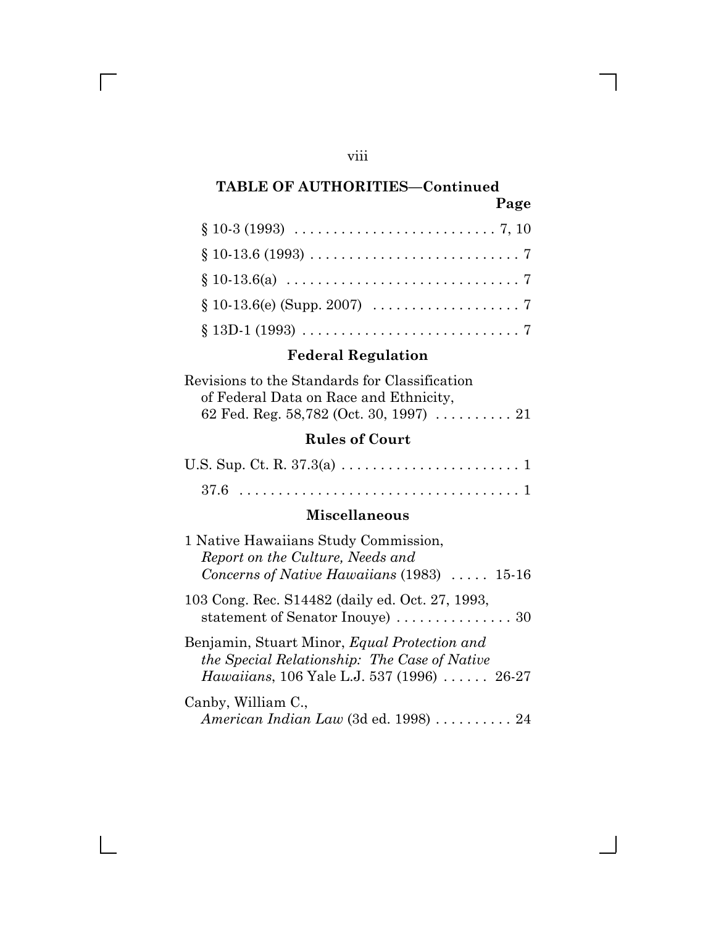## viii

 $\overline{\Gamma}$ 

 $\mathbf{L}$ 

## **TABLE OF AUTHORITIES—Continued Page**

| $§ 10-3 (1993) \ldots \ldots \ldots \ldots \ldots \ldots \ldots \ldots 7, 10$     |  |  |
|-----------------------------------------------------------------------------------|--|--|
|                                                                                   |  |  |
|                                                                                   |  |  |
|                                                                                   |  |  |
| $§ 13D-1 (1993) \ldots \ldots \ldots \ldots \ldots \ldots \ldots \ldots \ldots 7$ |  |  |

# **Federal Regulation**

| Revisions to the Standards for Classification                 |  |
|---------------------------------------------------------------|--|
| of Federal Data on Race and Ethnicity,                        |  |
| 62 Fed. Reg. 58,782 (Oct. 30, 1997) $\ldots \ldots \ldots 21$ |  |

# **Rules of Court**

## **Miscellaneous**

| 1 Native Hawaiians Study Commission,<br>Report on the Culture, Needs and                                                                                  |
|-----------------------------------------------------------------------------------------------------------------------------------------------------------|
| Concerns of Native Hawaiians $(1983)$ 15-16                                                                                                               |
| 103 Cong. Rec. S14482 (daily ed. Oct. 27, 1993,<br>statement of Senator Inouye) $\ldots \ldots \ldots \ldots 30$                                          |
| Benjamin, Stuart Minor, <i>Equal Protection and</i><br>the Special Relationship: The Case of Native<br><i>Hawaiians</i> , 106 Yale L.J. 537 (1996)  26-27 |
| Canby, William C.,<br>American Indian Law (3d ed. 1998)  24                                                                                               |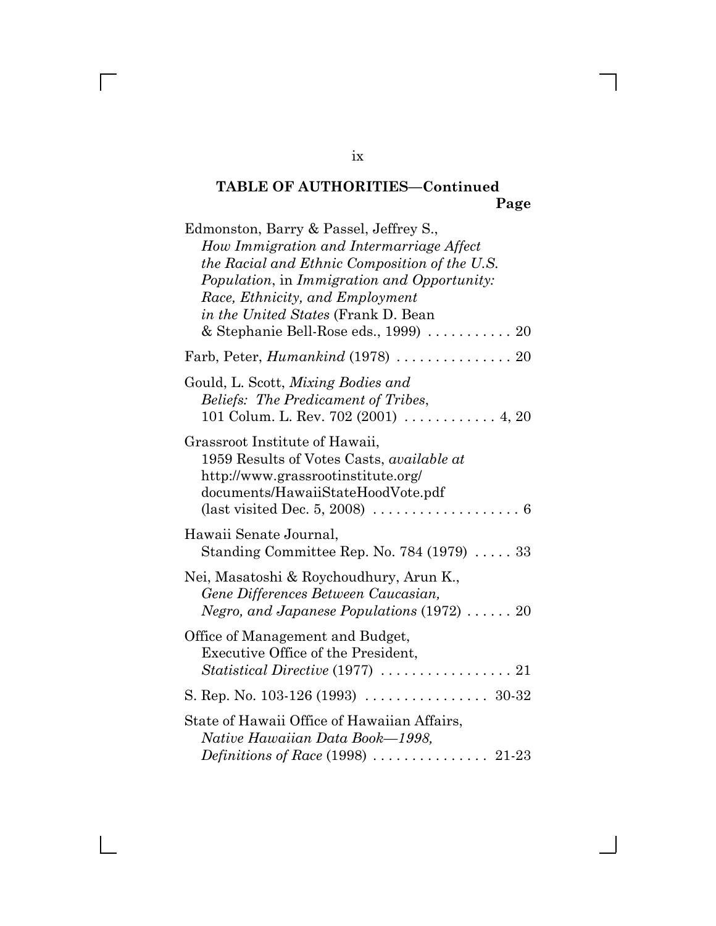# **TABLE OF AUTHORITIES—Continued Page**

| Edmonston, Barry & Passel, Jeffrey S.,<br>How Immigration and Intermarriage Affect<br>the Racial and Ethnic Composition of the U.S.<br>Population, in Immigration and Opportunity:<br>Race, Ethnicity, and Employment<br><i>in the United States</i> (Frank D. Bean<br>& Stephanie Bell-Rose eds., 1999)  20 |
|--------------------------------------------------------------------------------------------------------------------------------------------------------------------------------------------------------------------------------------------------------------------------------------------------------------|
| Farb, Peter, <i>Humankind</i> (1978)  20                                                                                                                                                                                                                                                                     |
| Gould, L. Scott, Mixing Bodies and<br>Beliefs: The Predicament of Tribes,<br>101 Colum. L. Rev. 702 (2001) $\ldots \ldots \ldots$ 4, 20                                                                                                                                                                      |
| Grassroot Institute of Hawaii,<br>1959 Results of Votes Casts, available at<br>http://www.grassrootinstitute.org/<br>documents/HawaiiStateHoodVote.pdf<br>(last visited Dec. 5, 2008) $\dots \dots \dots \dots \dots \dots \dots$                                                                            |
| Hawaii Senate Journal,<br>Standing Committee Rep. No. 784 (1979)  33                                                                                                                                                                                                                                         |
| Nei, Masatoshi & Roychoudhury, Arun K.,<br>Gene Differences Between Caucasian,<br>Negro, and Japanese Populations (1972)  20                                                                                                                                                                                 |
| Office of Management and Budget,<br>Executive Office of the President,<br>$Statistical\,Directive\,(1977)\,\ldots\ldots\ldots\ldots\ldots\ldots\,21$                                                                                                                                                         |
|                                                                                                                                                                                                                                                                                                              |
| State of Hawaii Office of Hawaiian Affairs,<br>Native Hawaiian Data Book—1998,                                                                                                                                                                                                                               |
|                                                                                                                                                                                                                                                                                                              |

ix

 $\overline{\Gamma}$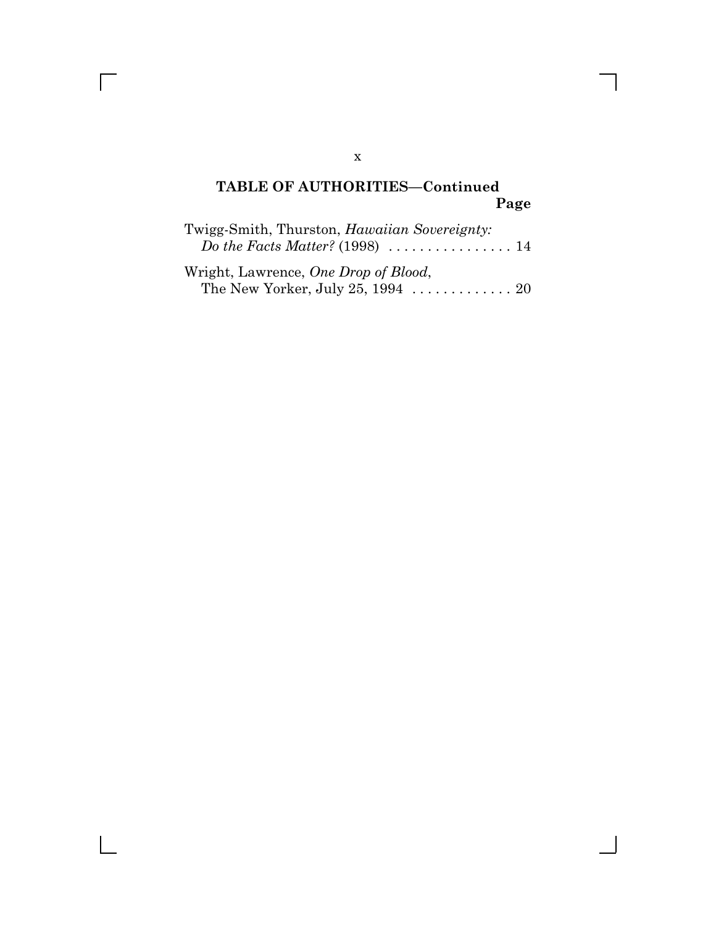## **TABLE OF AUTHORITIES—Continued Page**

| Twigg-Smith, Thurston, <i>Hawaiian Sovereignty</i> : |  |
|------------------------------------------------------|--|
|                                                      |  |
| Wright, Lawrence, One Drop of Blood,                 |  |

The New Yorker, July 25, 1994 . . . . . . . . . . . . . 20

### x

 $\overline{\Gamma}$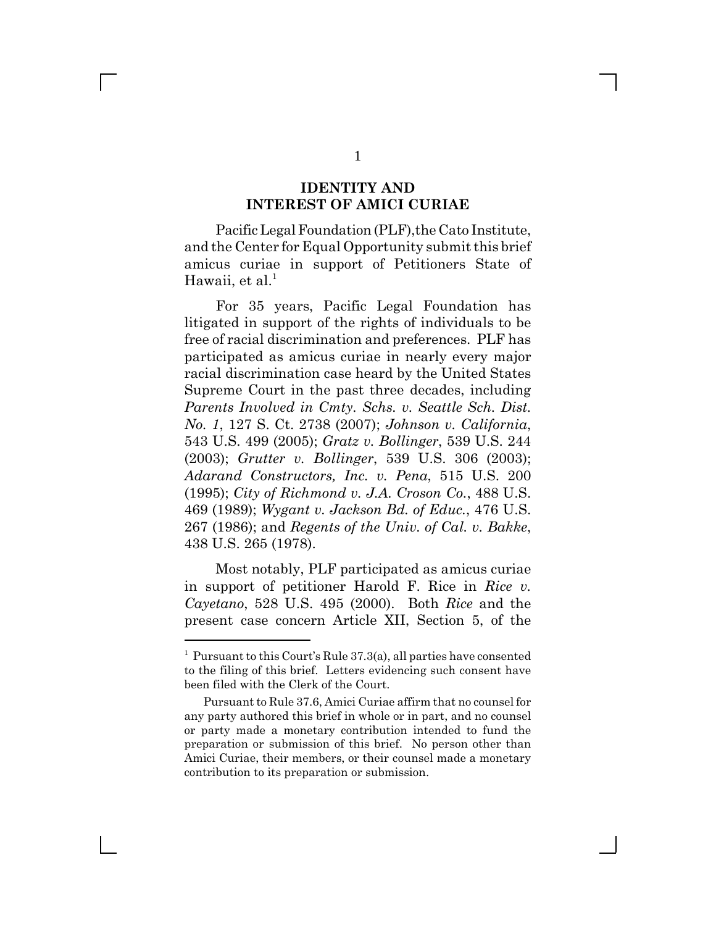### **IDENTITY AND INTEREST OF AMICI CURIAE**

Pacific Legal Foundation (PLF), the Cato Institute, and the Center for Equal Opportunity submit this brief amicus curiae in support of Petitioners State of Hawaii, et al. $<sup>1</sup>$ </sup>

For 35 years, Pacific Legal Foundation has litigated in support of the rights of individuals to be free of racial discrimination and preferences. PLF has participated as amicus curiae in nearly every major racial discrimination case heard by the United States Supreme Court in the past three decades, including *Parents Involved in Cmty. Schs. v. Seattle Sch. Dist. No. 1*, 127 S. Ct. 2738 (2007); *Johnson v. California*, 543 U.S. 499 (2005); *Gratz v. Bollinger*, 539 U.S. 244 (2003); *Grutter v. Bollinger*, 539 U.S. 306 (2003); *Adarand Constructors, Inc. v. Pena*, 515 U.S. 200 (1995); *City of Richmond v. J.A. Croson Co.*, 488 U.S. 469 (1989); *Wygant v. Jackson Bd. of Educ.*, 476 U.S. 267 (1986); and *Regents of the Univ. of Cal. v. Bakke*, 438 U.S. 265 (1978).

Most notably, PLF participated as amicus curiae in support of petitioner Harold F. Rice in *Rice v. Cayetano*, 528 U.S. 495 (2000). Both *Rice* and the present case concern Article XII, Section 5, of the

<sup>&</sup>lt;sup>1</sup> Pursuant to this Court's Rule 37.3(a), all parties have consented to the filing of this brief. Letters evidencing such consent have been filed with the Clerk of the Court.

Pursuant to Rule 37.6, Amici Curiae affirm that no counsel for any party authored this brief in whole or in part, and no counsel or party made a monetary contribution intended to fund the preparation or submission of this brief. No person other than Amici Curiae, their members, or their counsel made a monetary contribution to its preparation or submission.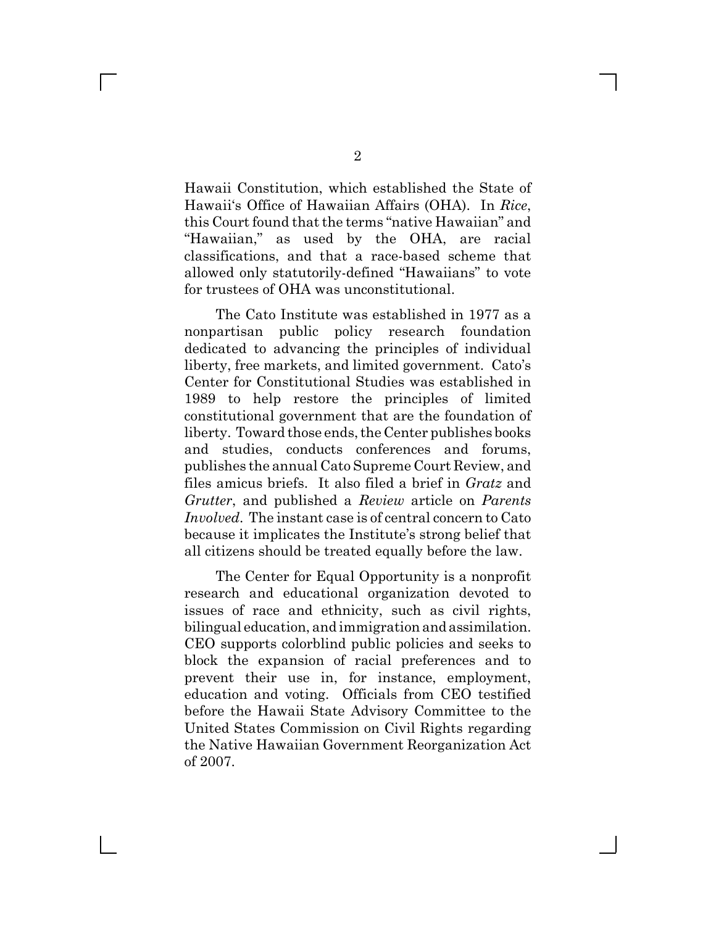Hawaii Constitution, which established the State of Hawaii's Office of Hawaiian Affairs (OHA). In *Rice*, this Court found that the terms "native Hawaiian" and "Hawaiian," as used by the OHA, are racial classifications, and that a race-based scheme that allowed only statutorily-defined "Hawaiians" to vote for trustees of OHA was unconstitutional.

The Cato Institute was established in 1977 as a nonpartisan public policy research foundation dedicated to advancing the principles of individual liberty, free markets, and limited government. Cato's Center for Constitutional Studies was established in 1989 to help restore the principles of limited constitutional government that are the foundation of liberty. Toward those ends, the Center publishes books and studies, conducts conferences and forums, publishes the annual Cato Supreme Court Review, and files amicus briefs. It also filed a brief in *Gratz* and *Grutter*, and published a *Review* article on *Parents Involved*. The instant case is of central concern to Cato because it implicates the Institute's strong belief that all citizens should be treated equally before the law.

The Center for Equal Opportunity is a nonprofit research and educational organization devoted to issues of race and ethnicity, such as civil rights, bilingual education, and immigration and assimilation. CEO supports colorblind public policies and seeks to block the expansion of racial preferences and to prevent their use in, for instance, employment, education and voting. Officials from CEO testified before the Hawaii State Advisory Committee to the United States Commission on Civil Rights regarding the Native Hawaiian Government Reorganization Act of 2007.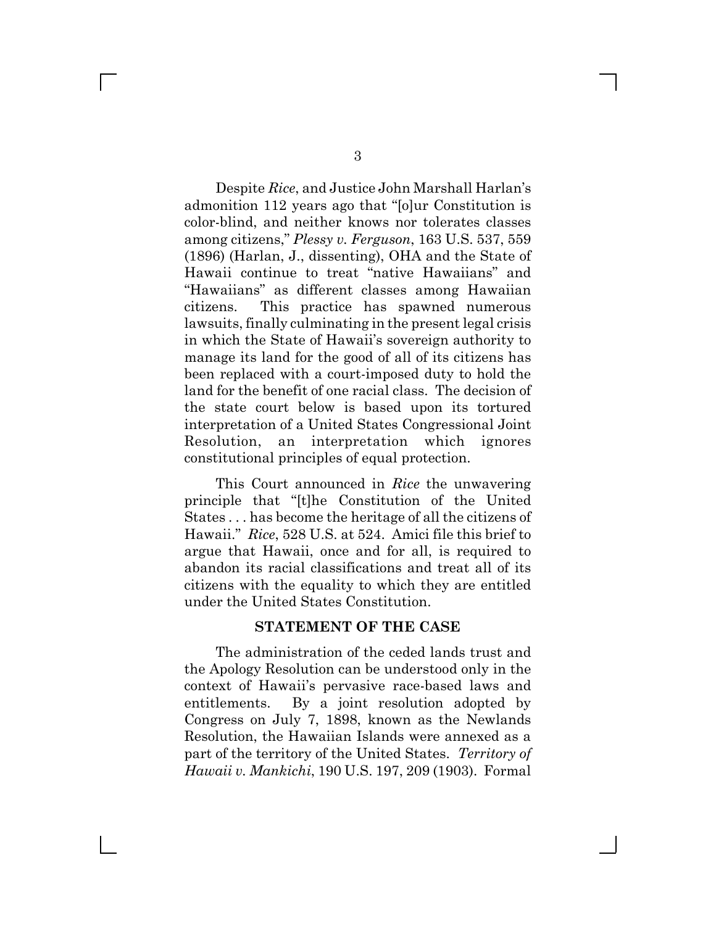Despite *Rice*, and Justice John Marshall Harlan's admonition 112 years ago that "[o]ur Constitution is color-blind, and neither knows nor tolerates classes among citizens," *Plessy v. Ferguson*, 163 U.S. 537, 559 (1896) (Harlan, J., dissenting), OHA and the State of Hawaii continue to treat "native Hawaiians" and "Hawaiians" as different classes among Hawaiian citizens. This practice has spawned numerous lawsuits, finally culminating in the present legal crisis in which the State of Hawaii's sovereign authority to manage its land for the good of all of its citizens has been replaced with a court-imposed duty to hold the land for the benefit of one racial class. The decision of the state court below is based upon its tortured interpretation of a United States Congressional Joint Resolution, an interpretation which ignores constitutional principles of equal protection.

This Court announced in *Rice* the unwavering principle that "[t]he Constitution of the United States . . . has become the heritage of all the citizens of Hawaii." *Rice*, 528 U.S. at 524. Amici file this brief to argue that Hawaii, once and for all, is required to abandon its racial classifications and treat all of its citizens with the equality to which they are entitled under the United States Constitution.

### **STATEMENT OF THE CASE**

The administration of the ceded lands trust and the Apology Resolution can be understood only in the context of Hawaii's pervasive race-based laws and entitlements. By a joint resolution adopted by Congress on July 7, 1898, known as the Newlands Resolution, the Hawaiian Islands were annexed as a part of the territory of the United States. *Territory of Hawaii v. Mankichi*, 190 U.S. 197, 209 (1903). Formal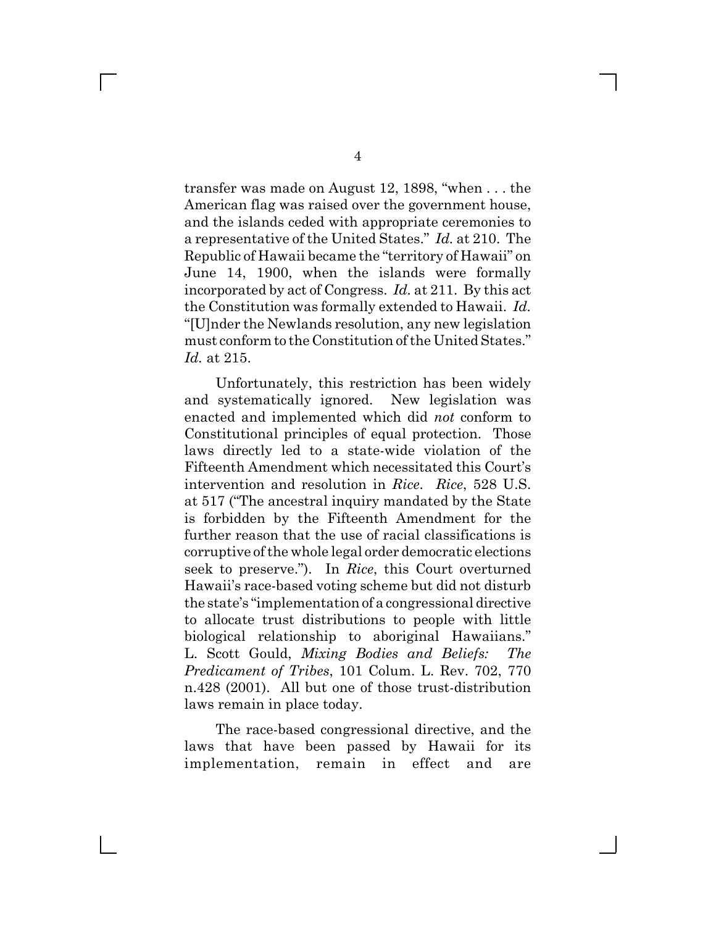transfer was made on August 12, 1898, "when . . . the American flag was raised over the government house, and the islands ceded with appropriate ceremonies to a representative of the United States." *Id.* at 210. The Republic of Hawaii became the "territory of Hawaii" on June 14, 1900, when the islands were formally incorporated by act of Congress. *Id.* at 211. By this act the Constitution was formally extended to Hawaii. *Id.* "[U]nder the Newlands resolution, any new legislation must conform to the Constitution of the United States." *Id.* at 215.

Unfortunately, this restriction has been widely and systematically ignored. New legislation was enacted and implemented which did *not* conform to Constitutional principles of equal protection. Those laws directly led to a state-wide violation of the Fifteenth Amendment which necessitated this Court's intervention and resolution in *Rice*. *Rice*, 528 U.S. at 517 ("The ancestral inquiry mandated by the State is forbidden by the Fifteenth Amendment for the further reason that the use of racial classifications is corruptive of the whole legal order democratic elections seek to preserve."). In *Rice*, this Court overturned Hawaii's race-based voting scheme but did not disturb the state's "implementation of a congressional directive to allocate trust distributions to people with little biological relationship to aboriginal Hawaiians." L. Scott Gould, *Mixing Bodies and Beliefs: The Predicament of Tribes*, 101 Colum. L. Rev. 702, 770 n.428 (2001). All but one of those trust-distribution laws remain in place today.

The race-based congressional directive, and the laws that have been passed by Hawaii for its implementation, remain in effect and are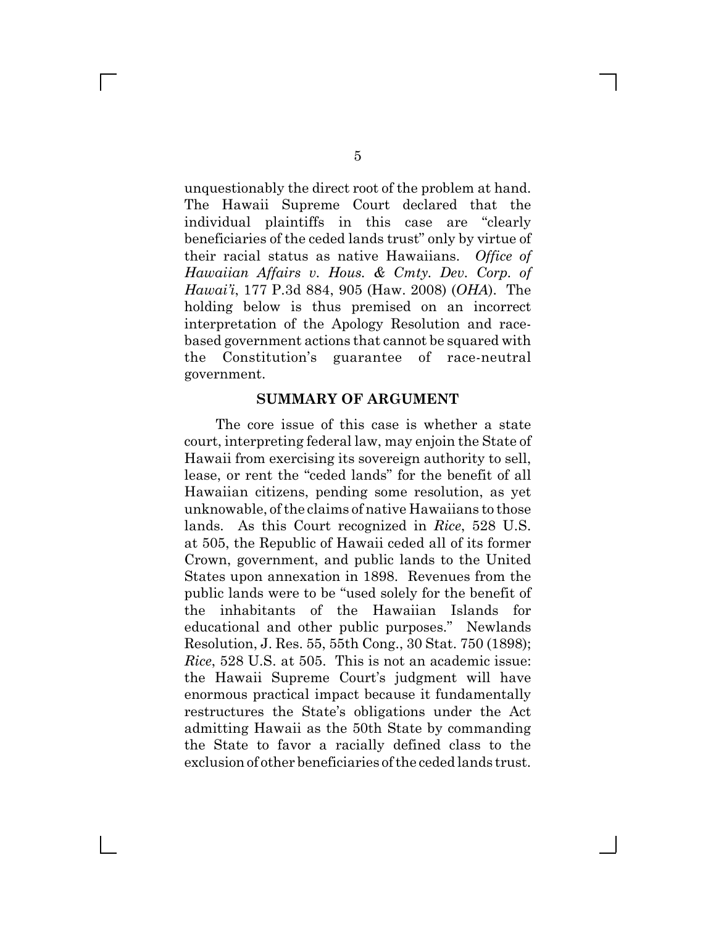unquestionably the direct root of the problem at hand. The Hawaii Supreme Court declared that the individual plaintiffs in this case are "clearly beneficiaries of the ceded lands trust" only by virtue of their racial status as native Hawaiians. *Office of Hawaiian Affairs v. Hous. & Cmty. Dev. Corp. of Hawai'i*, 177 P.3d 884, 905 (Haw. 2008) (*OHA*). The holding below is thus premised on an incorrect interpretation of the Apology Resolution and racebased government actions that cannot be squared with the Constitution's guarantee of race-neutral government.

### **SUMMARY OF ARGUMENT**

The core issue of this case is whether a state court, interpreting federal law, may enjoin the State of Hawaii from exercising its sovereign authority to sell, lease, or rent the "ceded lands" for the benefit of all Hawaiian citizens, pending some resolution, as yet unknowable, of the claims of native Hawaiians to those lands. As this Court recognized in *Rice*, 528 U.S. at 505, the Republic of Hawaii ceded all of its former Crown, government, and public lands to the United States upon annexation in 1898. Revenues from the public lands were to be "used solely for the benefit of the inhabitants of the Hawaiian Islands for educational and other public purposes." Newlands Resolution, J. Res. 55, 55th Cong., 30 Stat. 750 (1898); *Rice*, 528 U.S. at 505. This is not an academic issue: the Hawaii Supreme Court's judgment will have enormous practical impact because it fundamentally restructures the State's obligations under the Act admitting Hawaii as the 50th State by commanding the State to favor a racially defined class to the exclusion of other beneficiaries of the ceded lands trust.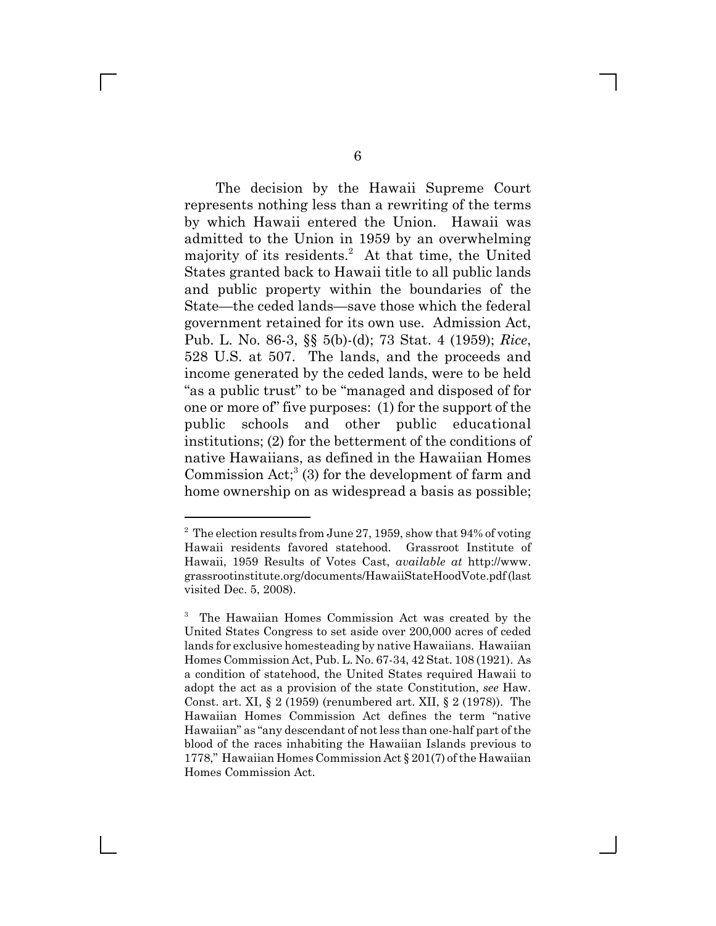The decision by the Hawaii Supreme Court represents nothing less than a rewriting of the terms by which Hawaii entered the Union. Hawaii was admitted to the Union in 1959 by an overwhelming majority of its residents.<sup>2</sup> At that time, the United States granted back to Hawaii title to all public lands and public property within the boundaries of the State—the ceded lands—save those which the federal government retained for its own use. Admission Act, Pub. L. No. 86-3, §§ 5(b)-(d); 73 Stat. 4 (1959); *Rice*, 528 U.S. at 507. The lands, and the proceeds and income generated by the ceded lands, were to be held "as a public trust" to be "managed and disposed of for one or more of" five purposes: (1) for the support of the public schools and other public educational institutions; (2) for the betterment of the conditions of native Hawaiians, as defined in the Hawaiian Homes Commission Act;<sup>3</sup> (3) for the development of farm and home ownership on as widespread a basis as possible;

 $2^2$  The election results from June 27, 1959, show that 94% of voting Hawaii residents favored statehood. Grassroot Institute of Hawaii, 1959 Results of Votes Cast, *available at* http://www. grassrootinstitute.org/documents/HawaiiStateHoodVote.pdf (last visited Dec. 5, 2008).

<sup>3</sup> The Hawaiian Homes Commission Act was created by the United States Congress to set aside over 200,000 acres of ceded lands for exclusive homesteading by native Hawaiians. Hawaiian Homes Commission Act, Pub. L. No. 67-34, 42 Stat. 108 (1921). As a condition of statehood, the United States required Hawaii to adopt the act as a provision of the state Constitution, *see* Haw. Const. art. XI, § 2 (1959) (renumbered art. XII, § 2 (1978)). The Hawaiian Homes Commission Act defines the term "native Hawaiian" as "any descendant of not less than one-half part of the blood of the races inhabiting the Hawaiian Islands previous to 1778," Hawaiian Homes Commission Act § 201(7) of the Hawaiian Homes Commission Act.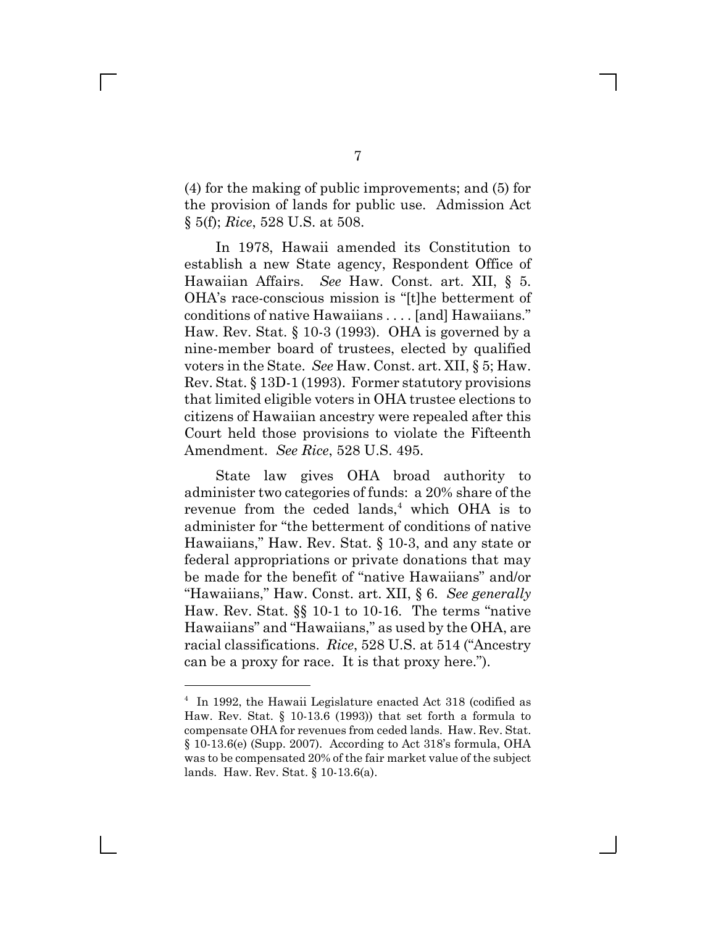(4) for the making of public improvements; and (5) for the provision of lands for public use. Admission Act § 5(f); *Rice*, 528 U.S. at 508.

In 1978, Hawaii amended its Constitution to establish a new State agency, Respondent Office of Hawaiian Affairs. *See* Haw. Const. art. XII, § 5. OHA's race-conscious mission is "[t]he betterment of conditions of native Hawaiians . . . . [and] Hawaiians." Haw. Rev. Stat. § 10-3 (1993). OHA is governed by a nine-member board of trustees, elected by qualified voters in the State. *See* Haw. Const. art. XII, § 5; Haw. Rev. Stat. § 13D-1 (1993). Former statutory provisions that limited eligible voters in OHA trustee elections to citizens of Hawaiian ancestry were repealed after this Court held those provisions to violate the Fifteenth Amendment. *See Rice*, 528 U.S. 495.

State law gives OHA broad authority to administer two categories of funds: a 20% share of the revenue from the ceded lands,<sup>4</sup> which OHA is to administer for "the betterment of conditions of native Hawaiians," Haw. Rev. Stat. § 10-3, and any state or federal appropriations or private donations that may be made for the benefit of "native Hawaiians" and/or "Hawaiians," Haw. Const. art. XII, § 6. *See generally* Haw. Rev. Stat. §§ 10-1 to 10-16. The terms "native Hawaiians" and "Hawaiians," as used by the OHA, are racial classifications. *Rice*, 528 U.S. at 514 ("Ancestry can be a proxy for race. It is that proxy here.").

<sup>4</sup> In 1992, the Hawaii Legislature enacted Act 318 (codified as Haw. Rev. Stat. § 10-13.6 (1993)) that set forth a formula to compensate OHA for revenues from ceded lands. Haw. Rev. Stat. § 10-13.6(e) (Supp. 2007). According to Act 318's formula, OHA was to be compensated 20% of the fair market value of the subject lands. Haw. Rev. Stat. § 10-13.6(a).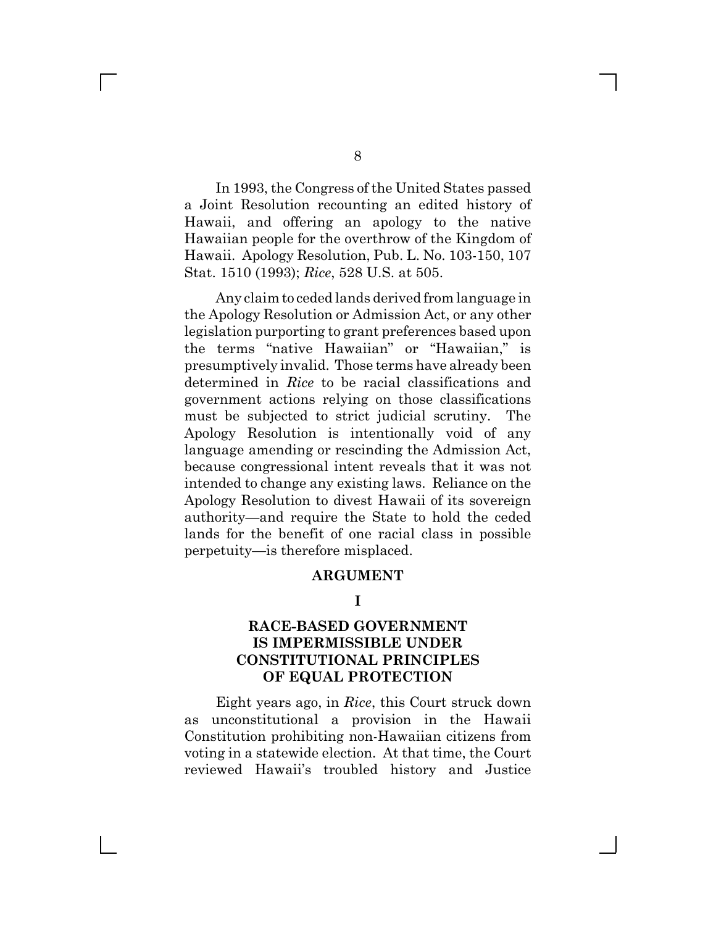In 1993, the Congress of the United States passed a Joint Resolution recounting an edited history of Hawaii, and offering an apology to the native Hawaiian people for the overthrow of the Kingdom of Hawaii. Apology Resolution, Pub. L. No. 103-150, 107 Stat. 1510 (1993); *Rice*, 528 U.S. at 505.

Any claim to ceded lands derived from language in the Apology Resolution or Admission Act, or any other legislation purporting to grant preferences based upon the terms "native Hawaiian" or "Hawaiian," is presumptively invalid. Those terms have already been determined in *Rice* to be racial classifications and government actions relying on those classifications must be subjected to strict judicial scrutiny. The Apology Resolution is intentionally void of any language amending or rescinding the Admission Act, because congressional intent reveals that it was not intended to change any existing laws. Reliance on the Apology Resolution to divest Hawaii of its sovereign authority—and require the State to hold the ceded lands for the benefit of one racial class in possible perpetuity—is therefore misplaced.

### **ARGUMENT**

### **I**

### **RACE-BASED GOVERNMENT IS IMPERMISSIBLE UNDER CONSTITUTIONAL PRINCIPLES OF EQUAL PROTECTION**

Eight years ago, in *Rice*, this Court struck down as unconstitutional a provision in the Hawaii Constitution prohibiting non-Hawaiian citizens from voting in a statewide election. At that time, the Court reviewed Hawaii's troubled history and Justice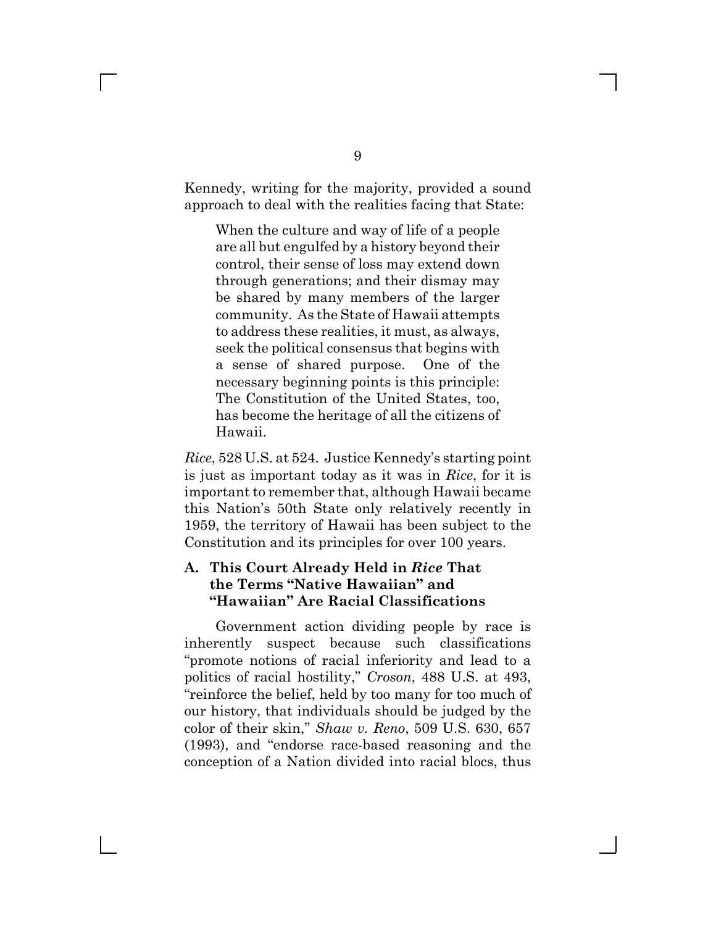Kennedy, writing for the majority, provided a sound approach to deal with the realities facing that State:

When the culture and way of life of a people are all but engulfed by a history beyond their control, their sense of loss may extend down through generations; and their dismay may be shared by many members of the larger community. As the State of Hawaii attempts to address these realities, it must, as always, seek the political consensus that begins with a sense of shared purpose. One of the necessary beginning points is this principle: The Constitution of the United States, too, has become the heritage of all the citizens of Hawaii.

*Rice*, 528 U.S. at 524. Justice Kennedy's starting point is just as important today as it was in *Rice*, for it is important to remember that, although Hawaii became this Nation's 50th State only relatively recently in 1959, the territory of Hawaii has been subject to the Constitution and its principles for over 100 years.

## **A. This Court Already Held in** *Rice* **That the Terms "Native Hawaiian" and "Hawaiian" Are Racial Classifications**

Government action dividing people by race is inherently suspect because such classifications "promote notions of racial inferiority and lead to a politics of racial hostility," *Croson*, 488 U.S. at 493, "reinforce the belief, held by too many for too much of our history, that individuals should be judged by the color of their skin," *Shaw v. Reno*, 509 U.S. 630, 657 (1993), and "endorse race-based reasoning and the conception of a Nation divided into racial blocs, thus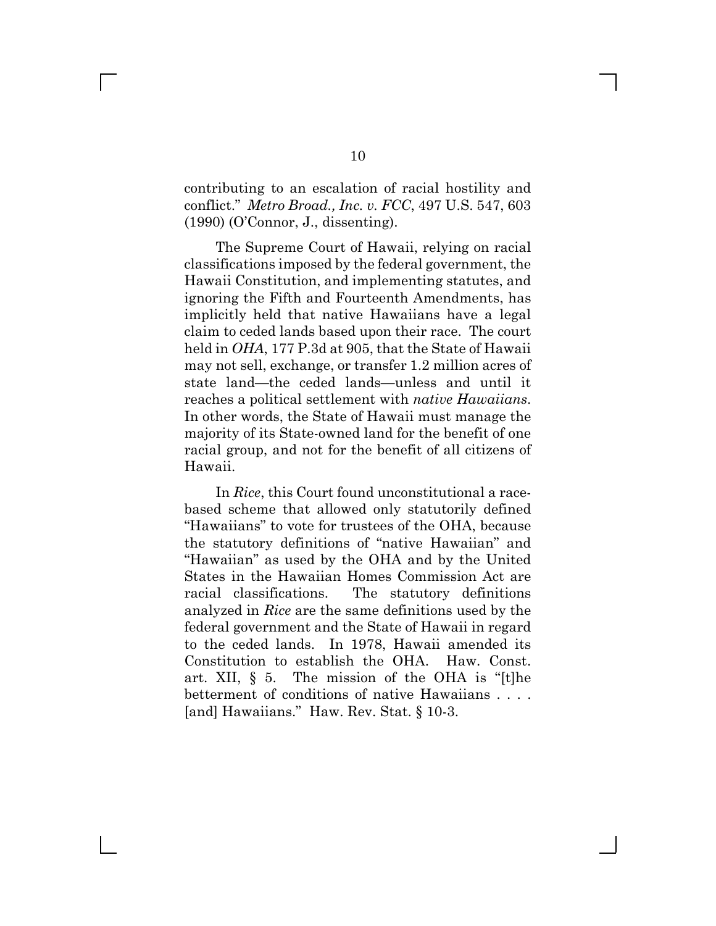contributing to an escalation of racial hostility and conflict." *Metro Broad., Inc. v. FCC*, 497 U.S. 547, 603 (1990) (O'Connor, J., dissenting).

The Supreme Court of Hawaii, relying on racial classifications imposed by the federal government, the Hawaii Constitution, and implementing statutes, and ignoring the Fifth and Fourteenth Amendments, has implicitly held that native Hawaiians have a legal claim to ceded lands based upon their race. The court held in *OHA*, 177 P.3d at 905, that the State of Hawaii may not sell, exchange, or transfer 1.2 million acres of state land—the ceded lands—unless and until it reaches a political settlement with *native Hawaiians*. In other words, the State of Hawaii must manage the majority of its State-owned land for the benefit of one racial group, and not for the benefit of all citizens of Hawaii.

In *Rice*, this Court found unconstitutional a racebased scheme that allowed only statutorily defined "Hawaiians" to vote for trustees of the OHA, because the statutory definitions of "native Hawaiian" and "Hawaiian" as used by the OHA and by the United States in the Hawaiian Homes Commission Act are racial classifications. The statutory definitions analyzed in *Rice* are the same definitions used by the federal government and the State of Hawaii in regard to the ceded lands. In 1978, Hawaii amended its Constitution to establish the OHA. Haw. Const. art. XII, § 5. The mission of the OHA is "[t]he betterment of conditions of native Hawaiians . . . . [and] Hawaiians." Haw. Rev. Stat. § 10-3.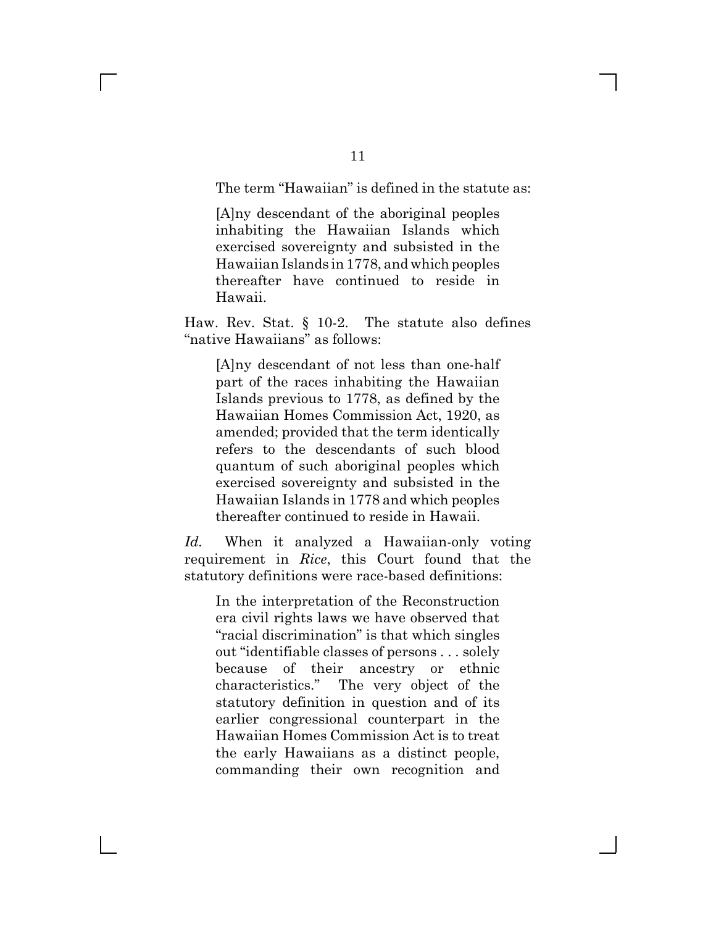The term "Hawaiian" is defined in the statute as:

[A]ny descendant of the aboriginal peoples inhabiting the Hawaiian Islands which exercised sovereignty and subsisted in the Hawaiian Islands in 1778, and which peoples thereafter have continued to reside in Hawaii.

Haw. Rev. Stat. § 10-2. The statute also defines "native Hawaiians" as follows:

[A]ny descendant of not less than one-half part of the races inhabiting the Hawaiian Islands previous to 1778, as defined by the Hawaiian Homes Commission Act, 1920, as amended; provided that the term identically refers to the descendants of such blood quantum of such aboriginal peoples which exercised sovereignty and subsisted in the Hawaiian Islands in 1778 and which peoples thereafter continued to reside in Hawaii.

*Id.* When it analyzed a Hawaiian-only voting requirement in *Rice*, this Court found that the statutory definitions were race-based definitions:

In the interpretation of the Reconstruction era civil rights laws we have observed that "racial discrimination" is that which singles out "identifiable classes of persons . . . solely because of their ancestry or ethnic characteristics." The very object of the statutory definition in question and of its earlier congressional counterpart in the Hawaiian Homes Commission Act is to treat the early Hawaiians as a distinct people, commanding their own recognition and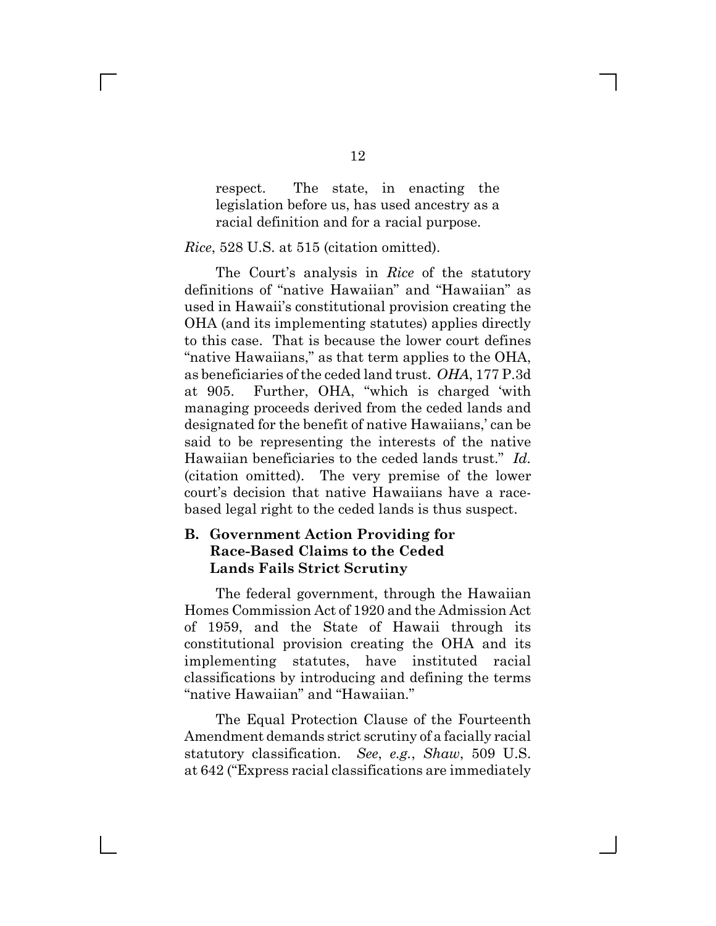respect. The state, in enacting the legislation before us, has used ancestry as a racial definition and for a racial purpose.

### *Rice*, 528 U.S. at 515 (citation omitted).

 $\mathbb{R}^n$ 

The Court's analysis in *Rice* of the statutory definitions of "native Hawaiian" and "Hawaiian" as used in Hawaii's constitutional provision creating the OHA (and its implementing statutes) applies directly to this case. That is because the lower court defines "native Hawaiians," as that term applies to the OHA, as beneficiaries of the ceded land trust. *OHA*, 177 P.3d at 905. Further, OHA, "which is charged 'with managing proceeds derived from the ceded lands and designated for the benefit of native Hawaiians,' can be said to be representing the interests of the native Hawaiian beneficiaries to the ceded lands trust." *Id.* (citation omitted). The very premise of the lower court's decision that native Hawaiians have a racebased legal right to the ceded lands is thus suspect.

### **B. Government Action Providing for Race-Based Claims to the Ceded Lands Fails Strict Scrutiny**

The federal government, through the Hawaiian Homes Commission Act of 1920 and the Admission Act of 1959, and the State of Hawaii through its constitutional provision creating the OHA and its implementing statutes, have instituted racial classifications by introducing and defining the terms "native Hawaiian" and "Hawaiian."

The Equal Protection Clause of the Fourteenth Amendment demands strict scrutiny of a facially racial statutory classification. *See*, *e.g.*, *Shaw*, 509 U.S. at 642 ("Express racial classifications are immediately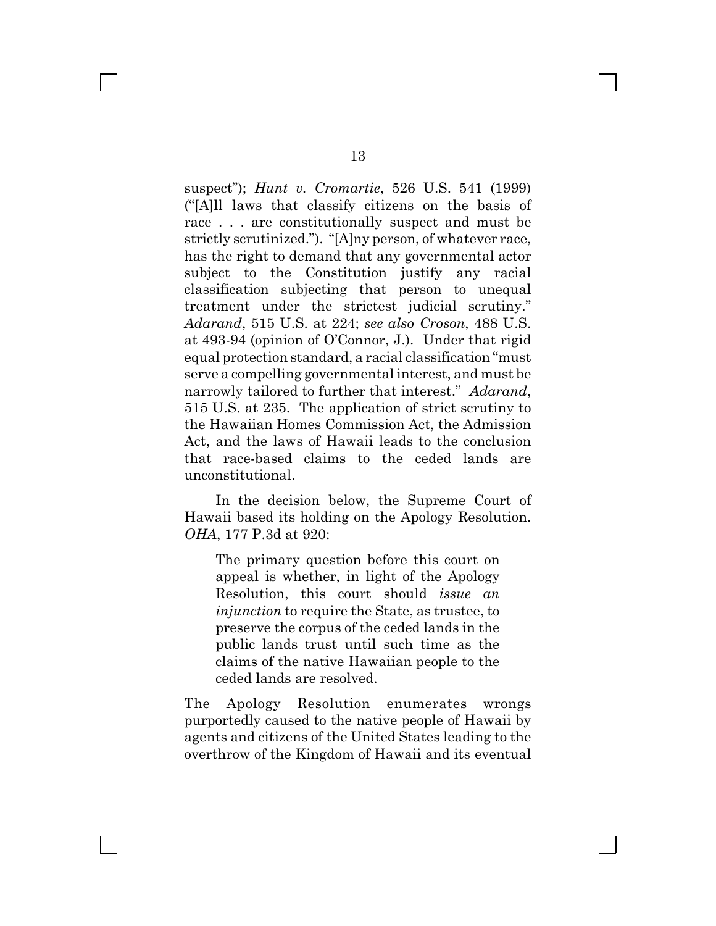suspect"); *Hunt v. Cromartie*, 526 U.S. 541 (1999) ("[A]ll laws that classify citizens on the basis of race . . . are constitutionally suspect and must be strictly scrutinized."). "[A]ny person, of whatever race, has the right to demand that any governmental actor subject to the Constitution justify any racial classification subjecting that person to unequal treatment under the strictest judicial scrutiny." *Adarand*, 515 U.S. at 224; *see also Croson*, 488 U.S. at 493-94 (opinion of O'Connor, J.). Under that rigid equal protection standard, a racial classification "must serve a compelling governmental interest, and must be narrowly tailored to further that interest." *Adarand*, 515 U.S. at 235. The application of strict scrutiny to the Hawaiian Homes Commission Act, the Admission Act, and the laws of Hawaii leads to the conclusion that race-based claims to the ceded lands are unconstitutional.

In the decision below, the Supreme Court of Hawaii based its holding on the Apology Resolution. *OHA*, 177 P.3d at 920:

The primary question before this court on appeal is whether, in light of the Apology Resolution, this court should *issue an injunction* to require the State, as trustee, to preserve the corpus of the ceded lands in the public lands trust until such time as the claims of the native Hawaiian people to the ceded lands are resolved.

The Apology Resolution enumerates wrongs purportedly caused to the native people of Hawaii by agents and citizens of the United States leading to the overthrow of the Kingdom of Hawaii and its eventual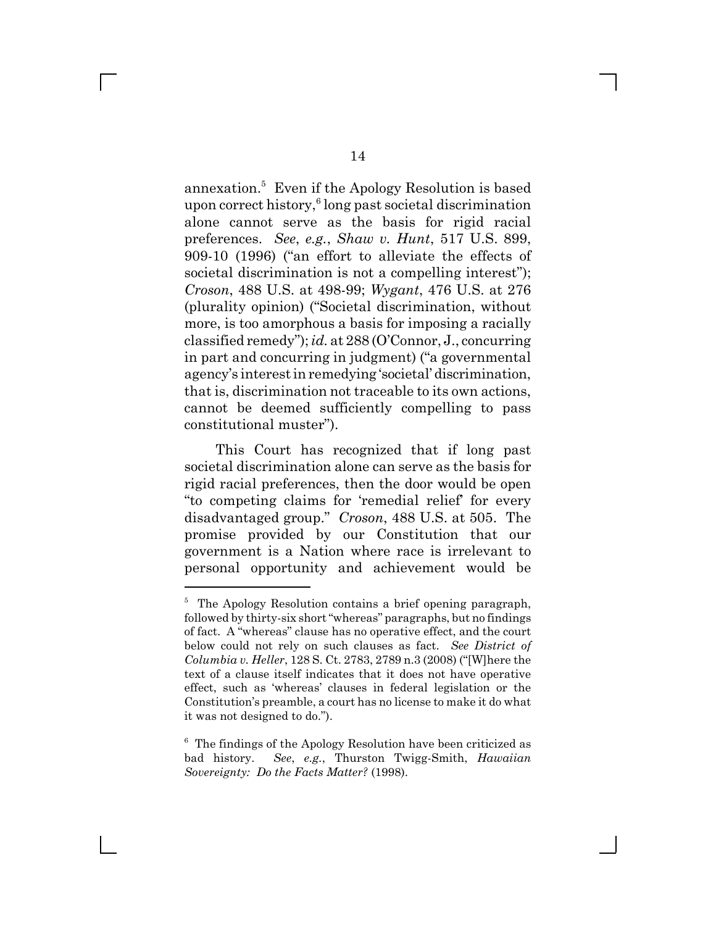annexation.<sup>5</sup> Even if the Apology Resolution is based upon correct history,<sup>6</sup> long past societal discrimination alone cannot serve as the basis for rigid racial preferences. *See*, *e.g.*, *Shaw v. Hunt*, 517 U.S. 899, 909-10 (1996) ("an effort to alleviate the effects of societal discrimination is not a compelling interest"); *Croson*, 488 U.S. at 498-99; *Wygant*, 476 U.S. at 276 (plurality opinion) ("Societal discrimination, without more, is too amorphous a basis for imposing a racially classified remedy"); *id.* at 288 (O'Connor, J., concurring in part and concurring in judgment) ("a governmental agency's interest in remedying 'societal' discrimination, that is, discrimination not traceable to its own actions, cannot be deemed sufficiently compelling to pass constitutional muster").

This Court has recognized that if long past societal discrimination alone can serve as the basis for rigid racial preferences, then the door would be open "to competing claims for 'remedial relief' for every disadvantaged group." *Croson*, 488 U.S. at 505. The promise provided by our Constitution that our government is a Nation where race is irrelevant to personal opportunity and achievement would be

<sup>&</sup>lt;sup>5</sup> The Apology Resolution contains a brief opening paragraph, followed by thirty-six short "whereas" paragraphs, but no findings of fact. A "whereas" clause has no operative effect, and the court below could not rely on such clauses as fact. *See District of Columbia v. Heller*, 128 S. Ct. 2783, 2789 n.3 (2008) ("[W]here the text of a clause itself indicates that it does not have operative effect, such as 'whereas' clauses in federal legislation or the Constitution's preamble, a court has no license to make it do what it was not designed to do.").

<sup>&</sup>lt;sup>6</sup> The findings of the Apology Resolution have been criticized as bad history. *See*, *e.g.*, Thurston Twigg-Smith, *Hawaiian Sovereignty: Do the Facts Matter?* (1998).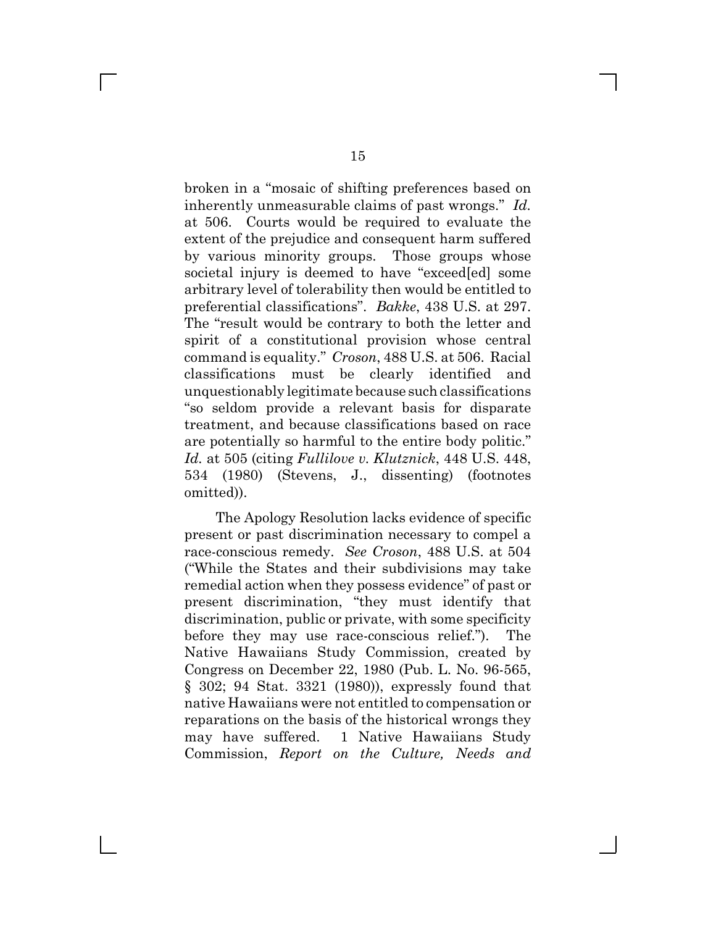broken in a "mosaic of shifting preferences based on inherently unmeasurable claims of past wrongs." *Id.* at 506. Courts would be required to evaluate the extent of the prejudice and consequent harm suffered by various minority groups. Those groups whose societal injury is deemed to have "exceed[ed] some arbitrary level of tolerability then would be entitled to preferential classifications". *Bakke*, 438 U.S. at 297. The "result would be contrary to both the letter and spirit of a constitutional provision whose central command is equality." *Croson*, 488 U.S. at 506. Racial classifications must be clearly identified and unquestionably legitimate because such classifications "so seldom provide a relevant basis for disparate treatment, and because classifications based on race are potentially so harmful to the entire body politic." *Id.* at 505 (citing *Fullilove v. Klutznick*, 448 U.S. 448, 534 (1980) (Stevens, J., dissenting) (footnotes omitted)).

The Apology Resolution lacks evidence of specific present or past discrimination necessary to compel a race-conscious remedy. *See Croson*, 488 U.S. at 504 ("While the States and their subdivisions may take remedial action when they possess evidence" of past or present discrimination, "they must identify that discrimination, public or private, with some specificity before they may use race-conscious relief."). The Native Hawaiians Study Commission, created by Congress on December 22, 1980 (Pub. L. No. 96-565, § 302; 94 Stat. 3321 (1980)), expressly found that native Hawaiians were not entitled to compensation or reparations on the basis of the historical wrongs they may have suffered. 1 Native Hawaiians Study Commission, *Report on the Culture, Needs and*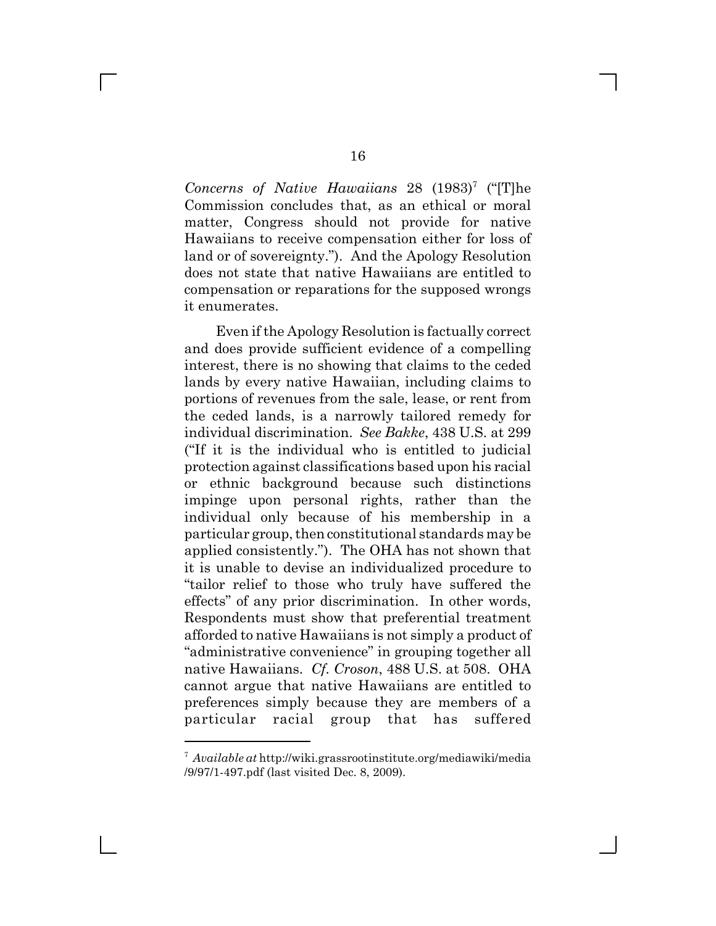Concerns of Native Hawaiians 28 (1983)<sup>7</sup> ("The Commission concludes that, as an ethical or moral matter, Congress should not provide for native Hawaiians to receive compensation either for loss of land or of sovereignty."). And the Apology Resolution does not state that native Hawaiians are entitled to compensation or reparations for the supposed wrongs it enumerates.

Even if the Apology Resolution is factually correct and does provide sufficient evidence of a compelling interest, there is no showing that claims to the ceded lands by every native Hawaiian, including claims to portions of revenues from the sale, lease, or rent from the ceded lands, is a narrowly tailored remedy for individual discrimination. *See Bakke*, 438 U.S. at 299 ("If it is the individual who is entitled to judicial protection against classifications based upon his racial or ethnic background because such distinctions impinge upon personal rights, rather than the individual only because of his membership in a particular group, then constitutional standards may be applied consistently."). The OHA has not shown that it is unable to devise an individualized procedure to "tailor relief to those who truly have suffered the effects" of any prior discrimination. In other words, Respondents must show that preferential treatment afforded to native Hawaiians is not simply a product of "administrative convenience" in grouping together all native Hawaiians. *Cf. Croson*, 488 U.S. at 508. OHA cannot argue that native Hawaiians are entitled to preferences simply because they are members of a particular racial group that has suffered

<sup>7</sup> *Available at* http://wiki.grassrootinstitute.org/mediawiki/media /9/97/1-497.pdf (last visited Dec. 8, 2009).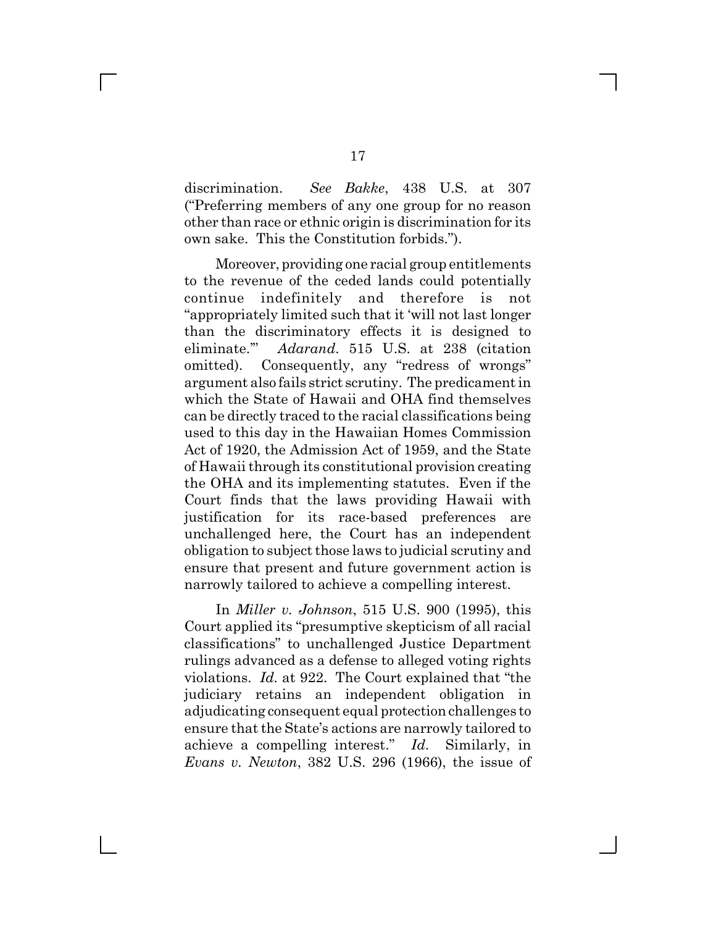discrimination. *See Bakke*, 438 U.S. at 307 ("Preferring members of any one group for no reason other than race or ethnic origin is discrimination for its own sake. This the Constitution forbids.").

Moreover, providing one racial group entitlements to the revenue of the ceded lands could potentially continue indefinitely and therefore is not "appropriately limited such that it 'will not last longer than the discriminatory effects it is designed to eliminate.'" *Adarand*. 515 U.S. at 238 (citation omitted). Consequently, any "redress of wrongs" argument also fails strict scrutiny. The predicament in which the State of Hawaii and OHA find themselves can be directly traced to the racial classifications being used to this day in the Hawaiian Homes Commission Act of 1920, the Admission Act of 1959, and the State of Hawaii through its constitutional provision creating the OHA and its implementing statutes. Even if the Court finds that the laws providing Hawaii with justification for its race-based preferences are unchallenged here, the Court has an independent obligation to subject those laws to judicial scrutiny and ensure that present and future government action is narrowly tailored to achieve a compelling interest.

In *Miller v. Johnson*, 515 U.S. 900 (1995), this Court applied its "presumptive skepticism of all racial classifications" to unchallenged Justice Department rulings advanced as a defense to alleged voting rights violations. *Id.* at 922. The Court explained that "the judiciary retains an independent obligation in adjudicating consequent equal protection challenges to ensure that the State's actions are narrowly tailored to achieve a compelling interest." *Id.* Similarly, in *Evans v. Newton*, 382 U.S. 296 (1966), the issue of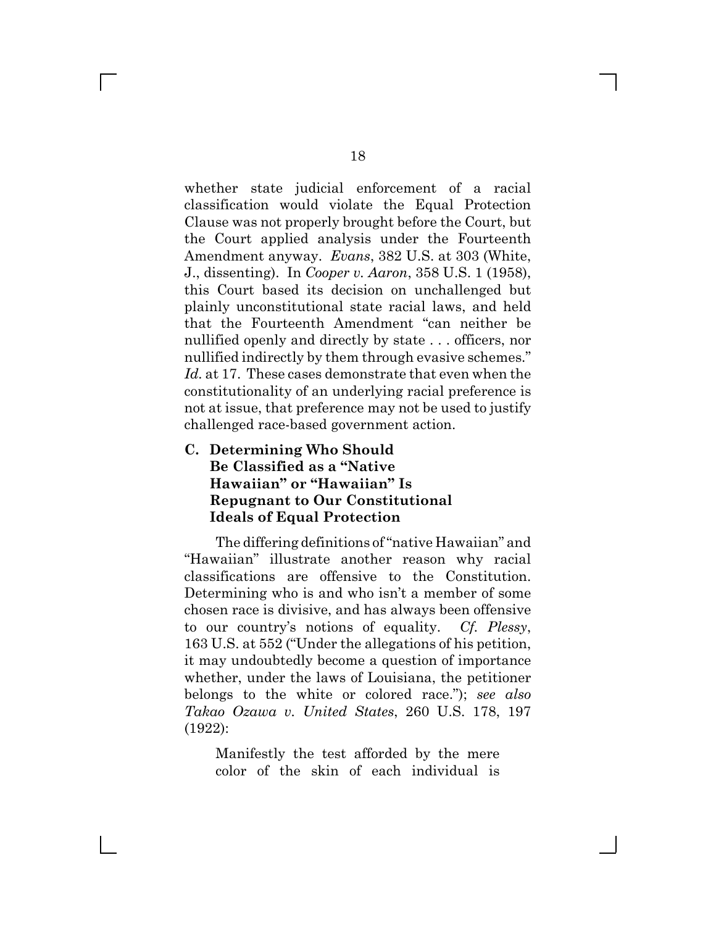whether state judicial enforcement of a racial classification would violate the Equal Protection Clause was not properly brought before the Court, but the Court applied analysis under the Fourteenth Amendment anyway. *Evans*, 382 U.S. at 303 (White, J., dissenting). In *Cooper v. Aaron*, 358 U.S. 1 (1958), this Court based its decision on unchallenged but plainly unconstitutional state racial laws, and held that the Fourteenth Amendment "can neither be nullified openly and directly by state . . . officers, nor nullified indirectly by them through evasive schemes." *Id.* at 17. These cases demonstrate that even when the constitutionality of an underlying racial preference is not at issue, that preference may not be used to justify challenged race-based government action.

## **C. Determining Who Should Be Classified as a "Native Hawaiian" or "Hawaiian" Is Repugnant to Our Constitutional Ideals of Equal Protection**

The differing definitions of "native Hawaiian" and "Hawaiian" illustrate another reason why racial classifications are offensive to the Constitution. Determining who is and who isn't a member of some chosen race is divisive, and has always been offensive to our country's notions of equality. *Cf. Plessy*, 163 U.S. at 552 ("Under the allegations of his petition, it may undoubtedly become a question of importance whether, under the laws of Louisiana, the petitioner belongs to the white or colored race."); *see also Takao Ozawa v. United States*, 260 U.S. 178, 197 (1922):

Manifestly the test afforded by the mere color of the skin of each individual is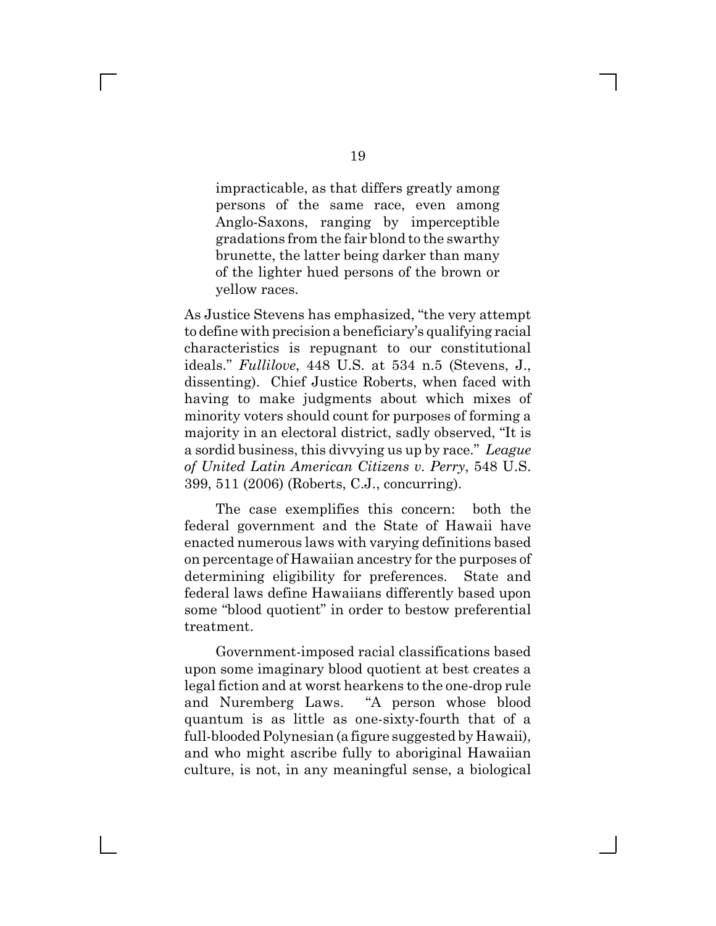impracticable, as that differs greatly among persons of the same race, even among Anglo-Saxons, ranging by imperceptible gradations from the fair blond to the swarthy brunette, the latter being darker than many of the lighter hued persons of the brown or yellow races.

As Justice Stevens has emphasized, "the very attempt to define with precision a beneficiary's qualifying racial characteristics is repugnant to our constitutional ideals." *Fullilove*, 448 U.S. at 534 n.5 (Stevens, J., dissenting). Chief Justice Roberts, when faced with having to make judgments about which mixes of minority voters should count for purposes of forming a majority in an electoral district, sadly observed, "It is a sordid business, this divvying us up by race." *League of United Latin American Citizens v. Perry*, 548 U.S. 399, 511 (2006) (Roberts, C.J., concurring).

The case exemplifies this concern: both the federal government and the State of Hawaii have enacted numerous laws with varying definitions based on percentage of Hawaiian ancestry for the purposes of determining eligibility for preferences. State and federal laws define Hawaiians differently based upon some "blood quotient" in order to bestow preferential treatment.

Government-imposed racial classifications based upon some imaginary blood quotient at best creates a legal fiction and at worst hearkens to the one-drop rule and Nuremberg Laws. "A person whose blood quantum is as little as one-sixty-fourth that of a full-blooded Polynesian (a figure suggested by Hawaii), and who might ascribe fully to aboriginal Hawaiian culture, is not, in any meaningful sense, a biological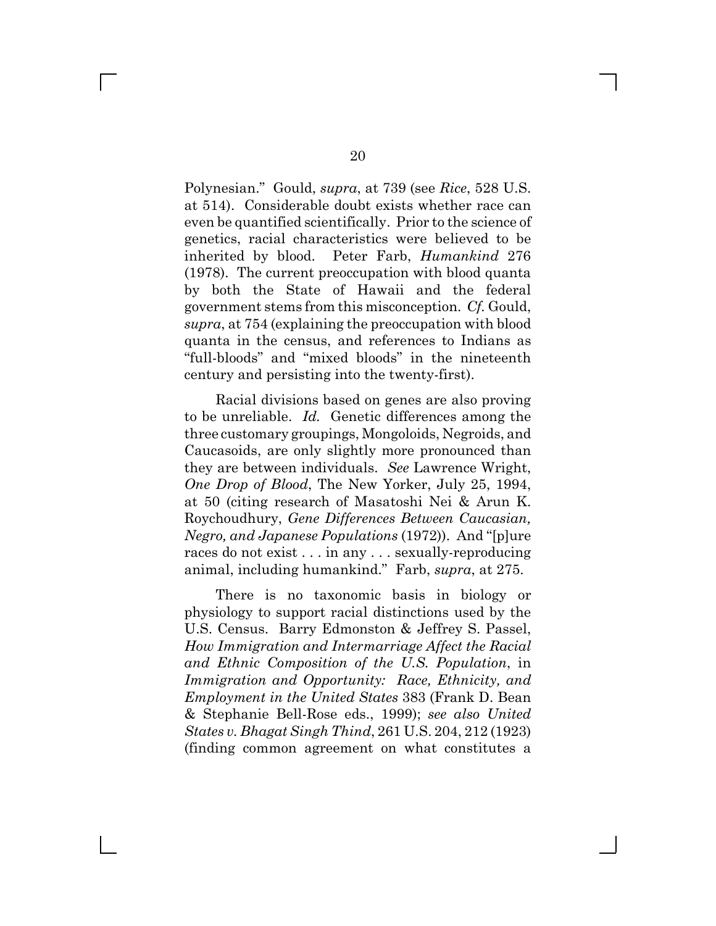Polynesian." Gould, *supra*, at 739 (see *Rice*, 528 U.S. at 514). Considerable doubt exists whether race can even be quantified scientifically. Prior to the science of genetics, racial characteristics were believed to be inherited by blood. Peter Farb, *Humankind* 276 (1978). The current preoccupation with blood quanta by both the State of Hawaii and the federal government stems from this misconception. *Cf.* Gould, *supra*, at 754 (explaining the preoccupation with blood quanta in the census, and references to Indians as "full-bloods" and "mixed bloods" in the nineteenth century and persisting into the twenty-first).

Racial divisions based on genes are also proving to be unreliable. *Id.* Genetic differences among the three customary groupings, Mongoloids, Negroids, and Caucasoids, are only slightly more pronounced than they are between individuals. *See* Lawrence Wright, *One Drop of Blood*, The New Yorker, July 25, 1994, at 50 (citing research of Masatoshi Nei & Arun K. Roychoudhury, *Gene Differences Between Caucasian, Negro, and Japanese Populations* (1972)). And "[p]ure races do not exist . . . in any . . . sexually-reproducing animal, including humankind." Farb, *supra*, at 275.

There is no taxonomic basis in biology or physiology to support racial distinctions used by the U.S. Census. Barry Edmonston & Jeffrey S. Passel, *How Immigration and Intermarriage Affect the Racial and Ethnic Composition of the U.S. Population*, in *Immigration and Opportunity: Race, Ethnicity, and Employment in the United States* 383 (Frank D. Bean & Stephanie Bell-Rose eds., 1999); *see also United States v. Bhagat Singh Thind*, 261 U.S. 204, 212 (1923) (finding common agreement on what constitutes a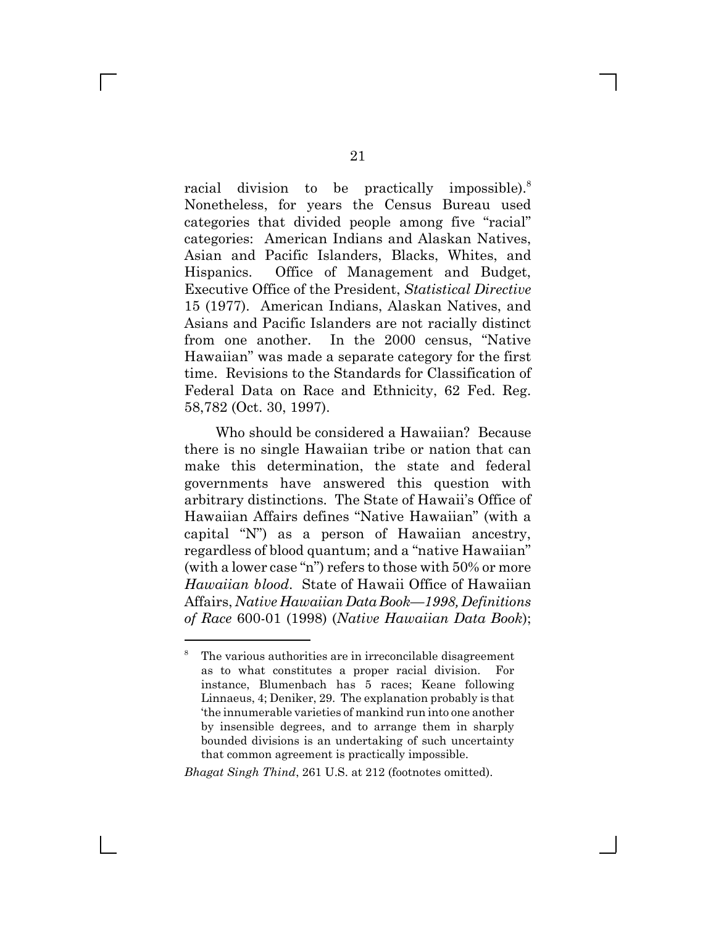racial division to be practically impossible).<sup>8</sup> Nonetheless, for years the Census Bureau used categories that divided people among five "racial" categories: American Indians and Alaskan Natives, Asian and Pacific Islanders, Blacks, Whites, and Hispanics. Office of Management and Budget, Executive Office of the President, *Statistical Directive* 15 (1977). American Indians, Alaskan Natives, and Asians and Pacific Islanders are not racially distinct from one another. In the 2000 census, "Native Hawaiian" was made a separate category for the first time. Revisions to the Standards for Classification of Federal Data on Race and Ethnicity, 62 Fed. Reg. 58,782 (Oct. 30, 1997).

Who should be considered a Hawaiian? Because there is no single Hawaiian tribe or nation that can make this determination, the state and federal governments have answered this question with arbitrary distinctions. The State of Hawaii's Office of Hawaiian Affairs defines "Native Hawaiian" (with a capital "N") as a person of Hawaiian ancestry, regardless of blood quantum; and a "native Hawaiian" (with a lower case "n") refers to those with 50% or more *Hawaiian blood*. State of Hawaii Office of Hawaiian Affairs, *Native Hawaiian Data Book—1998, Definitions of Race* 600-01 (1998) (*Native Hawaiian Data Book*);

*Bhagat Singh Thind*, 261 U.S. at 212 (footnotes omitted).

L

<sup>8</sup> The various authorities are in irreconcilable disagreement as to what constitutes a proper racial division. For instance, Blumenbach has 5 races; Keane following Linnaeus, 4; Deniker, 29. The explanation probably is that 'the innumerable varieties of mankind run into one another by insensible degrees, and to arrange them in sharply bounded divisions is an undertaking of such uncertainty that common agreement is practically impossible.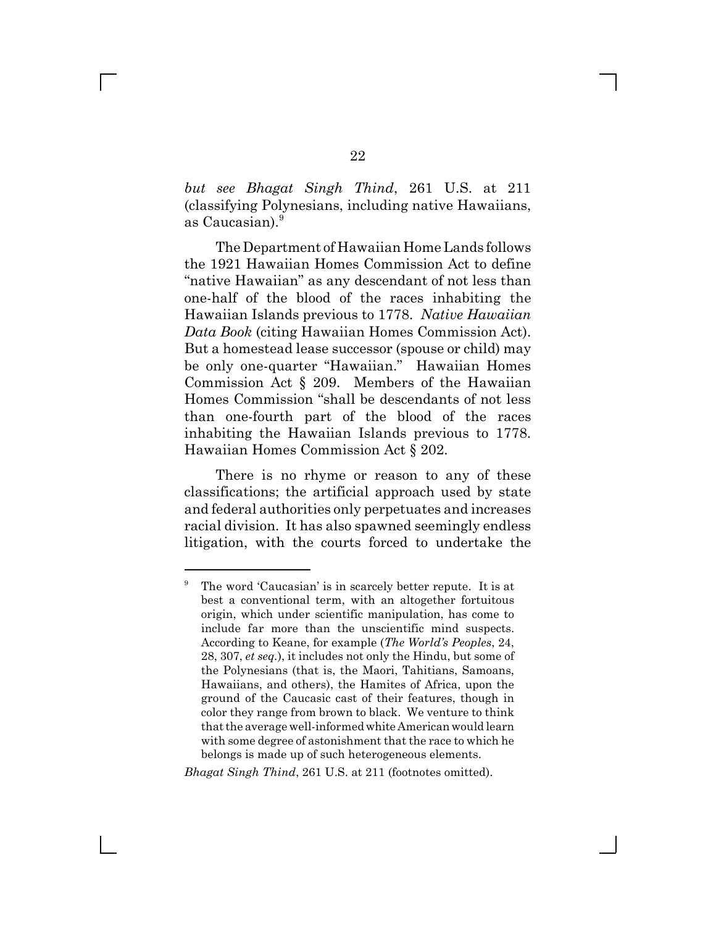*but see Bhagat Singh Thind*, 261 U.S. at 211 (classifying Polynesians, including native Hawaiians, as Caucasian).<sup>9</sup>

The Department of Hawaiian Home Lands follows the 1921 Hawaiian Homes Commission Act to define "native Hawaiian" as any descendant of not less than one-half of the blood of the races inhabiting the Hawaiian Islands previous to 1778. *Native Hawaiian Data Book* (citing Hawaiian Homes Commission Act). But a homestead lease successor (spouse or child) may be only one-quarter "Hawaiian." Hawaiian Homes Commission Act § 209. Members of the Hawaiian Homes Commission "shall be descendants of not less than one-fourth part of the blood of the races inhabiting the Hawaiian Islands previous to 1778. Hawaiian Homes Commission Act § 202.

There is no rhyme or reason to any of these classifications; the artificial approach used by state and federal authorities only perpetuates and increases racial division. It has also spawned seemingly endless litigation, with the courts forced to undertake the

#### *Bhagat Singh Thind*, 261 U.S. at 211 (footnotes omitted).

<sup>9</sup> The word 'Caucasian' is in scarcely better repute. It is at best a conventional term, with an altogether fortuitous origin, which under scientific manipulation, has come to include far more than the unscientific mind suspects. According to Keane, for example (*The World's Peoples*, 24, 28, 307, *et seq.*), it includes not only the Hindu, but some of the Polynesians (that is, the Maori, Tahitians, Samoans, Hawaiians, and others), the Hamites of Africa, upon the ground of the Caucasic cast of their features, though in color they range from brown to black. We venture to think that the average well-informed white American would learn with some degree of astonishment that the race to which he belongs is made up of such heterogeneous elements.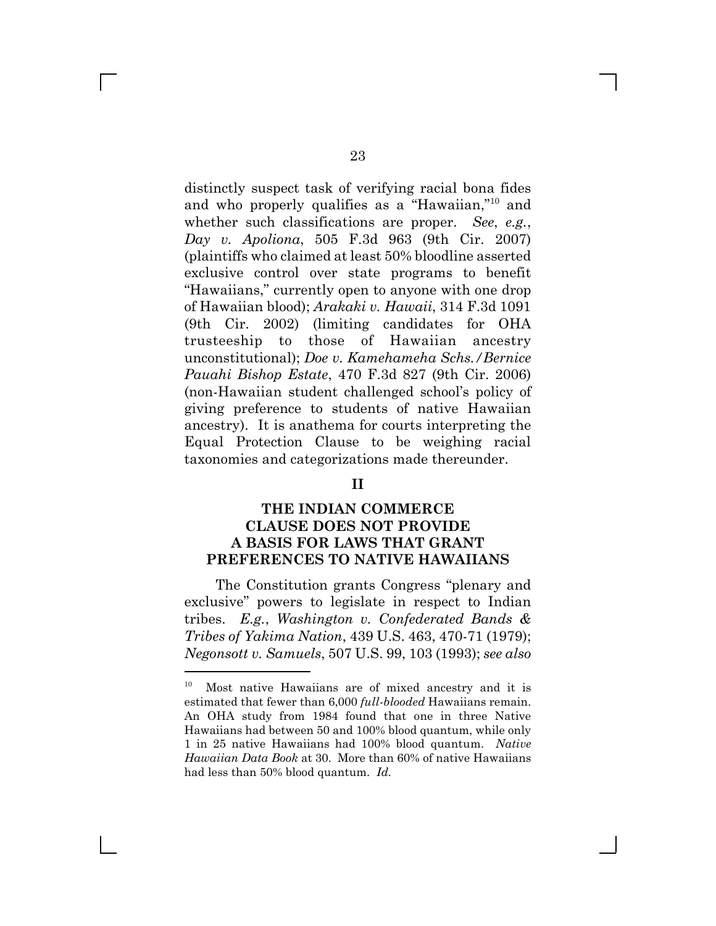distinctly suspect task of verifying racial bona fides and who properly qualifies as a "Hawaiian,"10 and whether such classifications are proper. *See*, *e.g.*, *Day v. Apoliona*, 505 F.3d 963 (9th Cir. 2007) (plaintiffs who claimed at least 50% bloodline asserted exclusive control over state programs to benefit "Hawaiians," currently open to anyone with one drop of Hawaiian blood); *Arakaki v. Hawaii*, 314 F.3d 1091 (9th Cir. 2002) (limiting candidates for OHA trusteeship to those of Hawaiian ancestry unconstitutional); *Doe v. Kamehameha Schs./Bernice Pauahi Bishop Estate*, 470 F.3d 827 (9th Cir. 2006) (non-Hawaiian student challenged school's policy of giving preference to students of native Hawaiian ancestry). It is anathema for courts interpreting the Equal Protection Clause to be weighing racial taxonomies and categorizations made thereunder.

### **II**

## **THE INDIAN COMMERCE CLAUSE DOES NOT PROVIDE A BASIS FOR LAWS THAT GRANT PREFERENCES TO NATIVE HAWAIIANS**

The Constitution grants Congress "plenary and exclusive" powers to legislate in respect to Indian tribes. *E.g.*, *Washington v. Confederated Bands & Tribes of Yakima Nation*, 439 U.S. 463, 470-71 (1979); *Negonsott v. Samuels*, 507 U.S. 99, 103 (1993); *see also*

<sup>10</sup> Most native Hawaiians are of mixed ancestry and it is estimated that fewer than 6,000 *full-blooded* Hawaiians remain. An OHA study from 1984 found that one in three Native Hawaiians had between 50 and 100% blood quantum, while only 1 in 25 native Hawaiians had 100% blood quantum. *Native Hawaiian Data Book* at 30. More than 60% of native Hawaiians had less than 50% blood quantum. *Id.*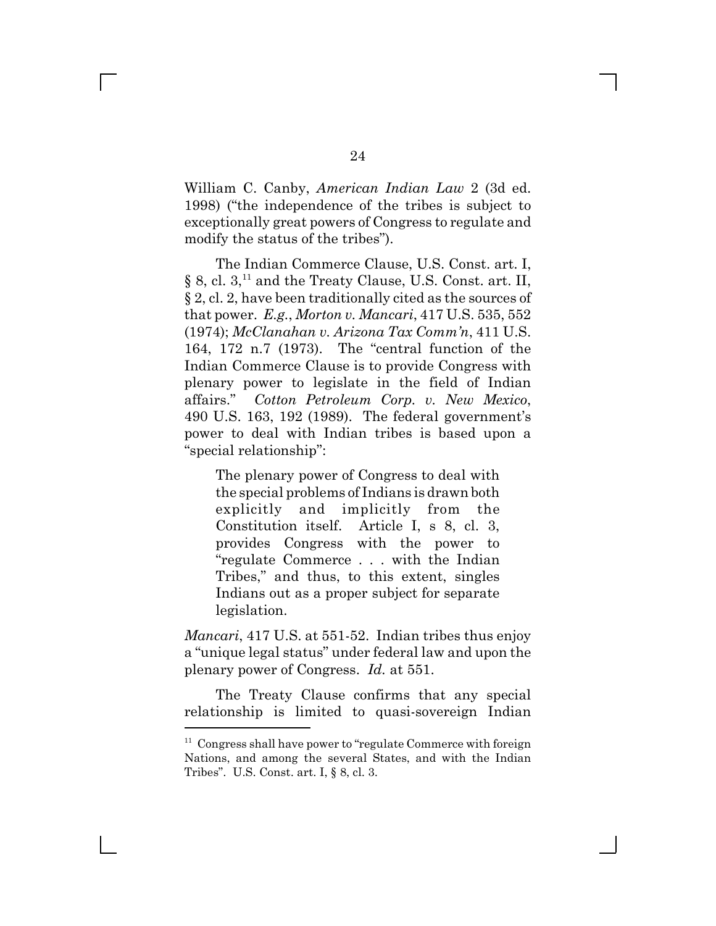William C. Canby, *American Indian Law* 2 (3d ed. 1998) ("the independence of the tribes is subject to exceptionally great powers of Congress to regulate and modify the status of the tribes").

The Indian Commerce Clause, U.S. Const. art. I, § 8, cl.  $3$ ,<sup>11</sup> and the Treaty Clause, U.S. Const. art. II, § 2, cl. 2, have been traditionally cited as the sources of that power. *E.g.*, *Morton v. Mancari*, 417 U.S. 535, 552 (1974); *McClanahan v. Arizona Tax Comm'n*, 411 U.S. 164, 172 n.7 (1973). The "central function of the Indian Commerce Clause is to provide Congress with plenary power to legislate in the field of Indian affairs." *Cotton Petroleum Corp. v. New Mexico*, 490 U.S. 163, 192 (1989). The federal government's power to deal with Indian tribes is based upon a "special relationship":

The plenary power of Congress to deal with the special problems of Indians is drawn both explicitly and implicitly from the Constitution itself. Article I, s 8, cl. 3, provides Congress with the power to "regulate Commerce . . . with the Indian Tribes," and thus, to this extent, singles Indians out as a proper subject for separate legislation.

*Mancari*, 417 U.S. at 551-52. Indian tribes thus enjoy a "unique legal status" under federal law and upon the plenary power of Congress. *Id.* at 551.

The Treaty Clause confirms that any special relationship is limited to quasi-sovereign Indian

 $\mathbf{I}$ 

 $11$  Congress shall have power to "regulate Commerce with foreign Nations, and among the several States, and with the Indian Tribes". U.S. Const. art. I, § 8, cl. 3.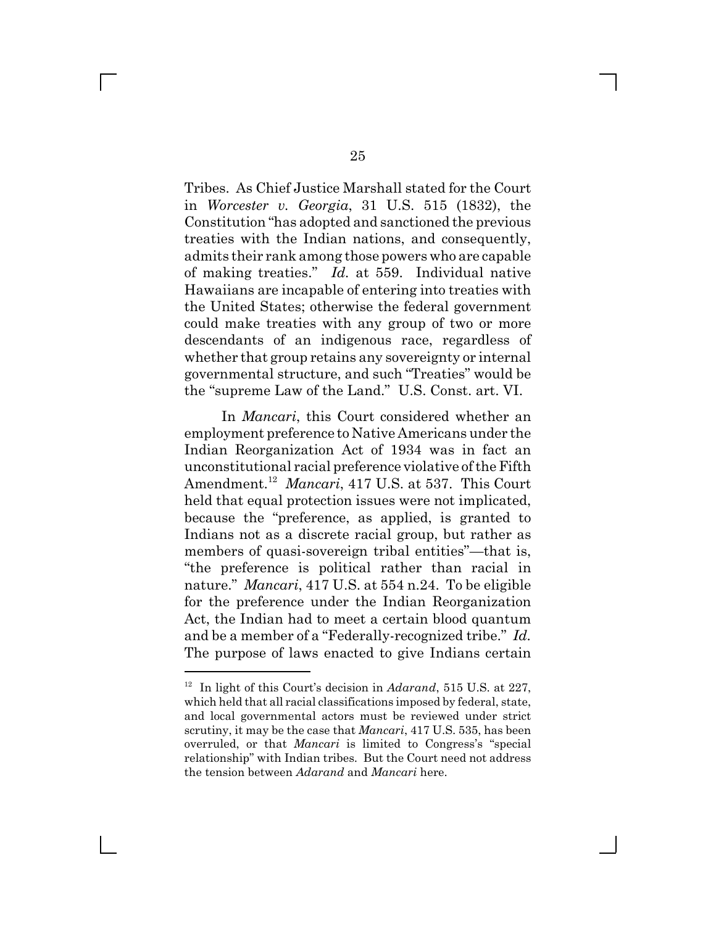Tribes. As Chief Justice Marshall stated for the Court in *Worcester v. Georgia*, 31 U.S. 515 (1832), the Constitution "has adopted and sanctioned the previous treaties with the Indian nations, and consequently, admits their rank among those powers who are capable of making treaties." *Id.* at 559. Individual native Hawaiians are incapable of entering into treaties with the United States; otherwise the federal government could make treaties with any group of two or more descendants of an indigenous race, regardless of whether that group retains any sovereignty or internal governmental structure, and such "Treaties" would be the "supreme Law of the Land." U.S. Const. art. VI.

 In *Mancari*, this Court considered whether an employment preference to Native Americans under the Indian Reorganization Act of 1934 was in fact an unconstitutional racial preference violative of the Fifth Amendment.12 *Mancari*, 417 U.S. at 537. This Court held that equal protection issues were not implicated, because the "preference, as applied, is granted to Indians not as a discrete racial group, but rather as members of quasi-sovereign tribal entities"—that is, "the preference is political rather than racial in nature." *Mancari*, 417 U.S. at 554 n.24. To be eligible for the preference under the Indian Reorganization Act, the Indian had to meet a certain blood quantum and be a member of a "Federally-recognized tribe." *Id.* The purpose of laws enacted to give Indians certain

<sup>12</sup> In light of this Court's decision in *Adarand*, 515 U.S. at 227, which held that all racial classifications imposed by federal, state, and local governmental actors must be reviewed under strict scrutiny, it may be the case that *Mancari*, 417 U.S. 535, has been overruled, or that *Mancari* is limited to Congress's "special relationship" with Indian tribes. But the Court need not address the tension between *Adarand* and *Mancari* here.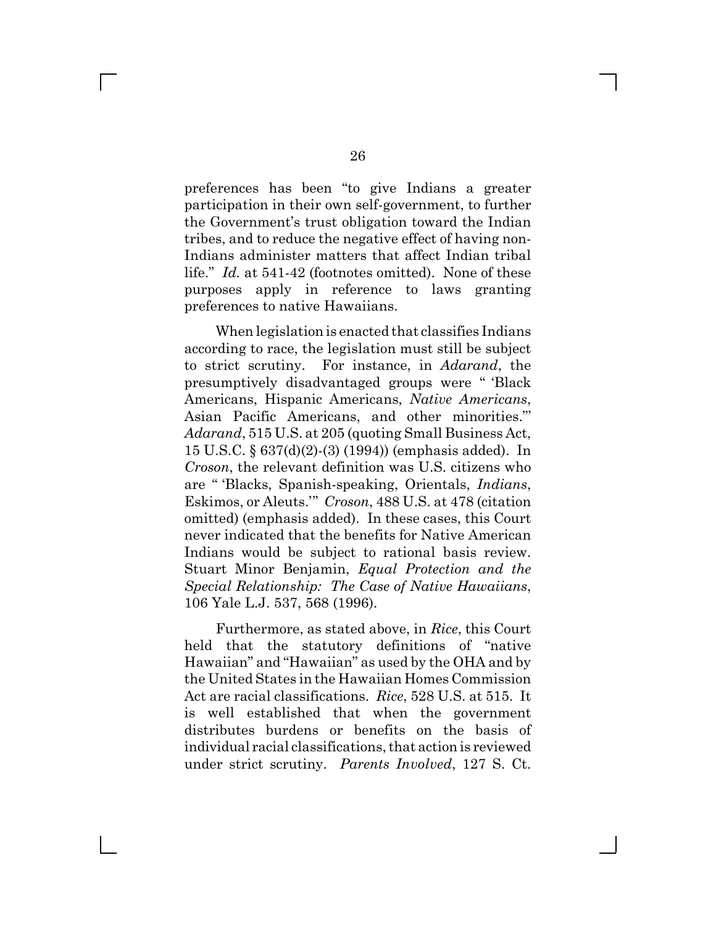preferences has been "to give Indians a greater participation in their own self-government, to further the Government's trust obligation toward the Indian tribes, and to reduce the negative effect of having non-Indians administer matters that affect Indian tribal life." *Id.* at 541-42 (footnotes omitted). None of these purposes apply in reference to laws granting preferences to native Hawaiians.

When legislation is enacted that classifies Indians according to race, the legislation must still be subject to strict scrutiny. For instance, in *Adarand*, the presumptively disadvantaged groups were " 'Black Americans, Hispanic Americans, *Native Americans*, Asian Pacific Americans, and other minorities."' *Adarand*, 515 U.S. at 205 (quoting Small Business Act, 15 U.S.C. § 637(d)(2)-(3) (1994)) (emphasis added). In *Croson*, the relevant definition was U.S. citizens who are " 'Blacks, Spanish-speaking, Orientals, *Indians*, Eskimos, or Aleuts.'" *Croson*, 488 U.S. at 478 (citation omitted) (emphasis added). In these cases, this Court never indicated that the benefits for Native American Indians would be subject to rational basis review. Stuart Minor Benjamin, *Equal Protection and the Special Relationship: The Case of Native Hawaiians*, 106 Yale L.J. 537, 568 (1996).

Furthermore, as stated above, in *Rice*, this Court held that the statutory definitions of "native Hawaiian" and "Hawaiian" as used by the OHA and by the United States in the Hawaiian Homes Commission Act are racial classifications. *Rice*, 528 U.S. at 515. It is well established that when the government distributes burdens or benefits on the basis of individual racial classifications, that action is reviewed under strict scrutiny. *Parents Involved*, 127 S. Ct.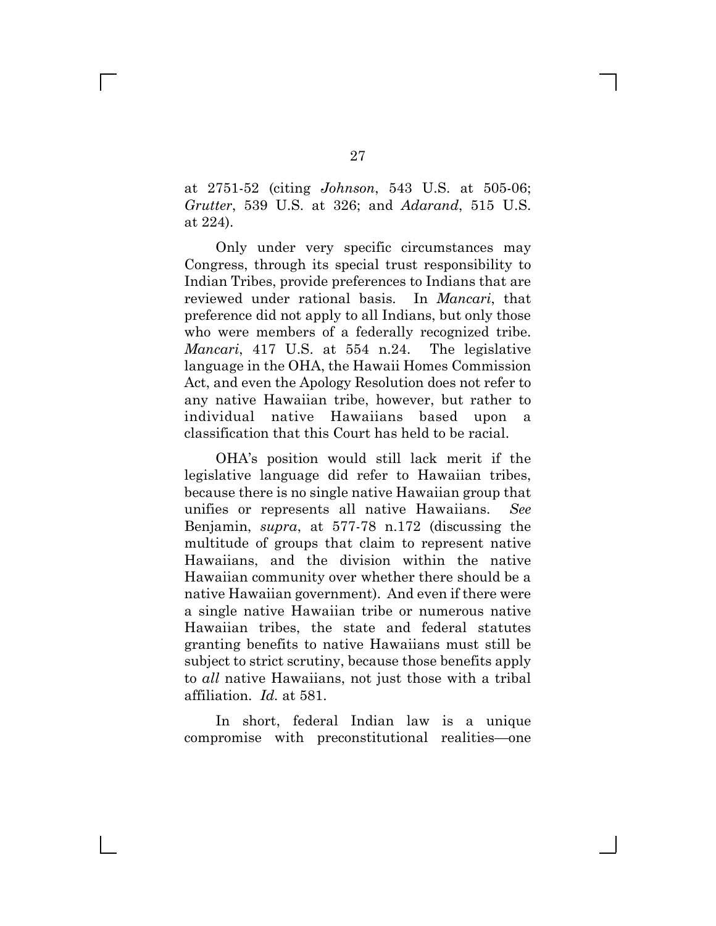at 2751-52 (citing *Johnson*, 543 U.S. at 505-06; *Grutter*, 539 U.S. at 326; and *Adarand*, 515 U.S. at 224).

Only under very specific circumstances may Congress, through its special trust responsibility to Indian Tribes, provide preferences to Indians that are reviewed under rational basis. In *Mancari*, that preference did not apply to all Indians, but only those who were members of a federally recognized tribe. *Mancari*, 417 U.S. at 554 n.24. The legislative language in the OHA, the Hawaii Homes Commission Act, and even the Apology Resolution does not refer to any native Hawaiian tribe, however, but rather to individual native Hawaiians based upon a classification that this Court has held to be racial.

OHA's position would still lack merit if the legislative language did refer to Hawaiian tribes, because there is no single native Hawaiian group that unifies or represents all native Hawaiians. *See* Benjamin, *supra*, at 577-78 n.172 (discussing the multitude of groups that claim to represent native Hawaiians, and the division within the native Hawaiian community over whether there should be a native Hawaiian government). And even if there were a single native Hawaiian tribe or numerous native Hawaiian tribes, the state and federal statutes granting benefits to native Hawaiians must still be subject to strict scrutiny, because those benefits apply to *all* native Hawaiians, not just those with a tribal affiliation. *Id.* at 581.

In short, federal Indian law is a unique compromise with preconstitutional realities—one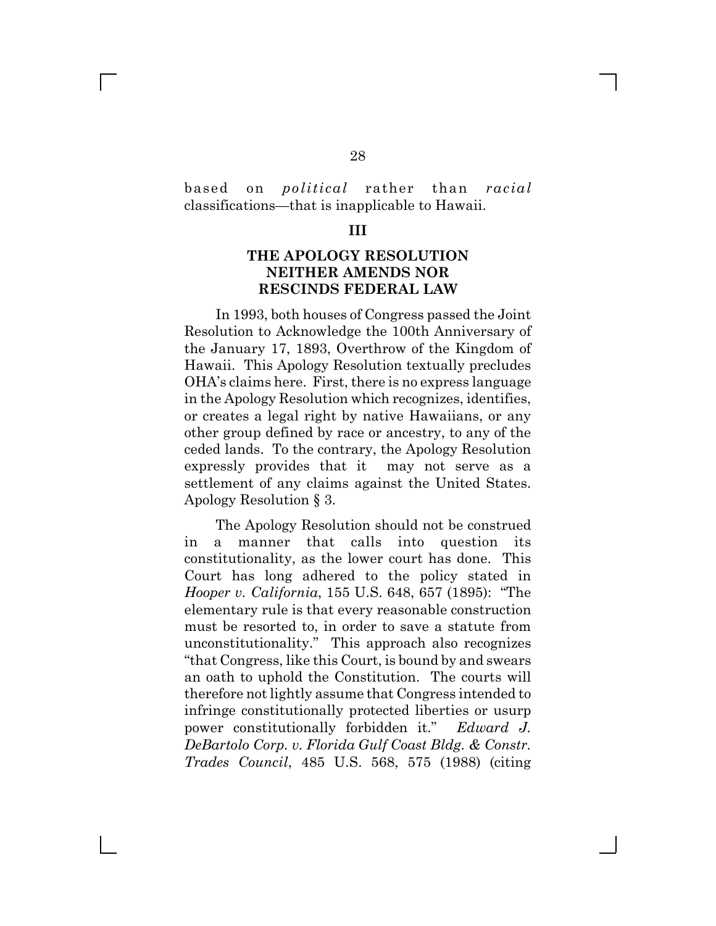### based on *political* rather than *racial* classifications—that is inapplicable to Hawaii.

#### **III**

## **THE APOLOGY RESOLUTION NEITHER AMENDS NOR RESCINDS FEDERAL LAW**

In 1993, both houses of Congress passed the Joint Resolution to Acknowledge the 100th Anniversary of the January 17, 1893, Overthrow of the Kingdom of Hawaii. This Apology Resolution textually precludes OHA's claims here. First, there is no express language in the Apology Resolution which recognizes, identifies, or creates a legal right by native Hawaiians, or any other group defined by race or ancestry, to any of the ceded lands. To the contrary, the Apology Resolution expressly provides that it may not serve as a settlement of any claims against the United States. Apology Resolution § 3.

The Apology Resolution should not be construed in a manner that calls into question its constitutionality, as the lower court has done. This Court has long adhered to the policy stated in *Hooper v. California*, 155 U.S. 648, 657 (1895): "The elementary rule is that every reasonable construction must be resorted to, in order to save a statute from unconstitutionality." This approach also recognizes "that Congress, like this Court, is bound by and swears an oath to uphold the Constitution. The courts will therefore not lightly assume that Congress intended to infringe constitutionally protected liberties or usurp power constitutionally forbidden it." *Edward J. DeBartolo Corp. v. Florida Gulf Coast Bldg. & Constr. Trades Council*, 485 U.S. 568, 575 (1988) (citing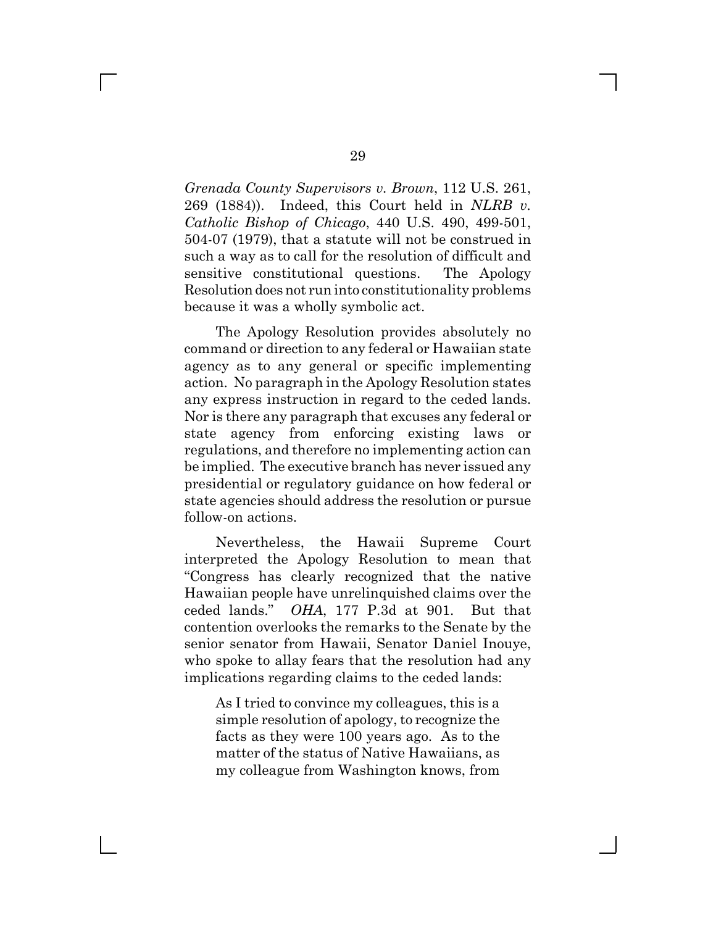*Grenada County Supervisors v. Brown*, 112 U.S. 261, 269 (1884)). Indeed, this Court held in *NLRB v. Catholic Bishop of Chicago*, 440 U.S. 490, 499-501, 504-07 (1979), that a statute will not be construed in such a way as to call for the resolution of difficult and sensitive constitutional questions. The Apology Resolution does not run into constitutionality problems because it was a wholly symbolic act.

The Apology Resolution provides absolutely no command or direction to any federal or Hawaiian state agency as to any general or specific implementing action. No paragraph in the Apology Resolution states any express instruction in regard to the ceded lands. Nor is there any paragraph that excuses any federal or state agency from enforcing existing laws or regulations, and therefore no implementing action can be implied. The executive branch has never issued any presidential or regulatory guidance on how federal or state agencies should address the resolution or pursue follow-on actions.

Nevertheless, the Hawaii Supreme Court interpreted the Apology Resolution to mean that "Congress has clearly recognized that the native Hawaiian people have unrelinquished claims over the ceded lands." *OHA*, 177 P.3d at 901. But that contention overlooks the remarks to the Senate by the senior senator from Hawaii, Senator Daniel Inouye, who spoke to allay fears that the resolution had any implications regarding claims to the ceded lands:

As I tried to convince my colleagues, this is a simple resolution of apology, to recognize the facts as they were 100 years ago. As to the matter of the status of Native Hawaiians, as my colleague from Washington knows, from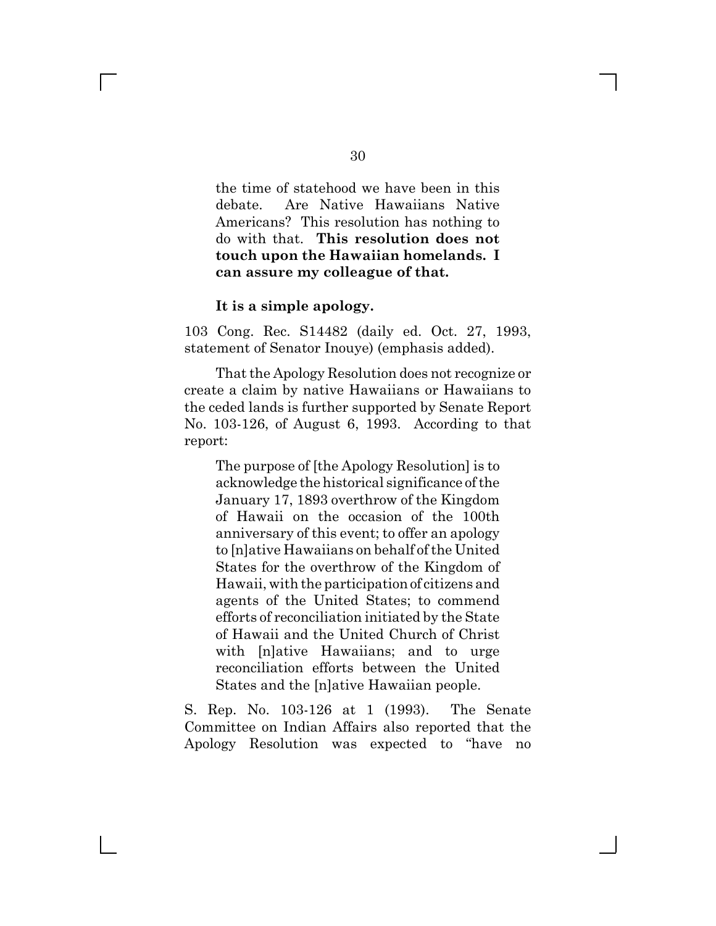the time of statehood we have been in this debate. Are Native Hawaiians Native Americans? This resolution has nothing to do with that. **This resolution does not touch upon the Hawaiian homelands. I can assure my colleague of that.**

#### **It is a simple apology.**

 $\mathbb{R}^n$ 

103 Cong. Rec. S14482 (daily ed. Oct. 27, 1993, statement of Senator Inouye) (emphasis added).

That the Apology Resolution does not recognize or create a claim by native Hawaiians or Hawaiians to the ceded lands is further supported by Senate Report No. 103-126, of August 6, 1993. According to that report:

The purpose of [the Apology Resolution] is to acknowledge the historical significance of the January 17, 1893 overthrow of the Kingdom of Hawaii on the occasion of the 100th anniversary of this event; to offer an apology to [n]ative Hawaiians on behalf of the United States for the overthrow of the Kingdom of Hawaii, with the participation of citizens and agents of the United States; to commend efforts of reconciliation initiated by the State of Hawaii and the United Church of Christ with [n]ative Hawaiians; and to urge reconciliation efforts between the United States and the [n]ative Hawaiian people.

S. Rep. No. 103-126 at 1 (1993). The Senate Committee on Indian Affairs also reported that the Apology Resolution was expected to "have no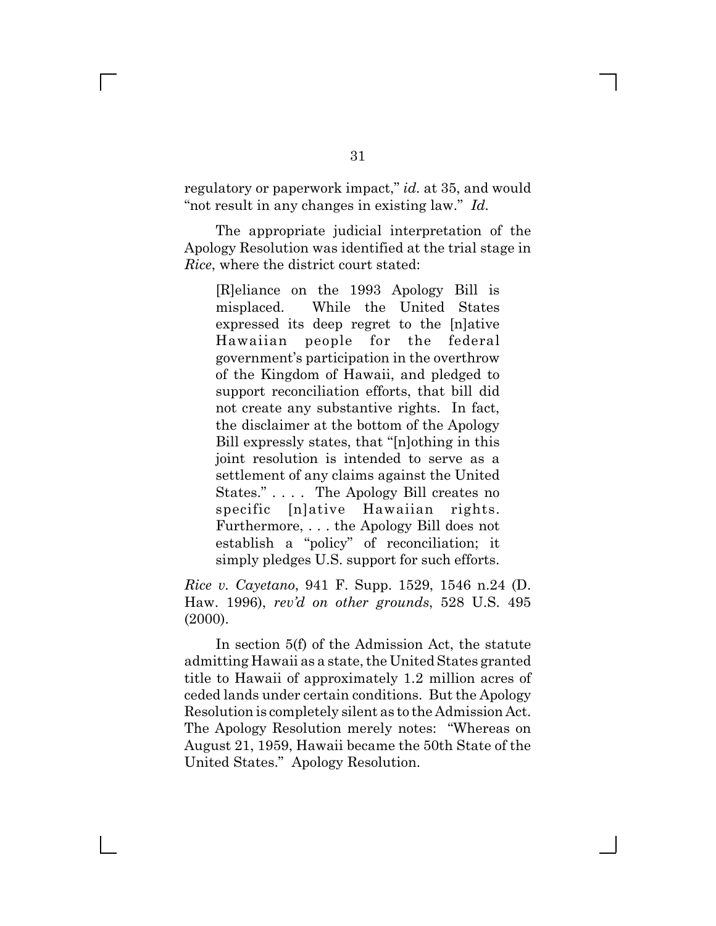regulatory or paperwork impact," *id.* at 35, and would "not result in any changes in existing law." *Id.*

The appropriate judicial interpretation of the Apology Resolution was identified at the trial stage in *Rice*, where the district court stated:

[R]eliance on the 1993 Apology Bill is misplaced. While the United States expressed its deep regret to the [n]ative Hawaiian people for the federal government's participation in the overthrow of the Kingdom of Hawaii, and pledged to support reconciliation efforts, that bill did not create any substantive rights. In fact, the disclaimer at the bottom of the Apology Bill expressly states, that "[n]othing in this joint resolution is intended to serve as a settlement of any claims against the United States." . . . . The Apology Bill creates no specific [n]ative Hawaiian rights. Furthermore, . . . the Apology Bill does not establish a "policy" of reconciliation; it simply pledges U.S. support for such efforts.

*Rice v. Cayetano*, 941 F. Supp. 1529, 1546 n.24 (D. Haw. 1996), *rev'd on other grounds*, 528 U.S. 495 (2000).

In section 5(f) of the Admission Act, the statute admitting Hawaii as a state, the United States granted title to Hawaii of approximately 1.2 million acres of ceded lands under certain conditions. But the Apology Resolution is completely silent as to the Admission Act. The Apology Resolution merely notes: "Whereas on August 21, 1959, Hawaii became the 50th State of the United States." Apology Resolution.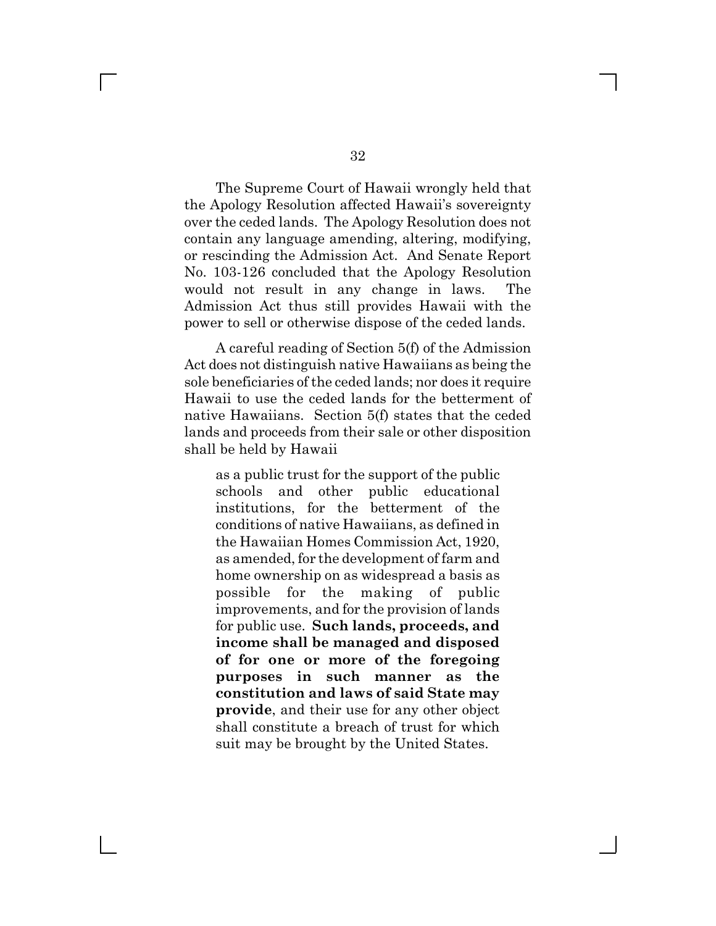The Supreme Court of Hawaii wrongly held that the Apology Resolution affected Hawaii's sovereignty over the ceded lands. The Apology Resolution does not contain any language amending, altering, modifying, or rescinding the Admission Act. And Senate Report No. 103-126 concluded that the Apology Resolution would not result in any change in laws. The Admission Act thus still provides Hawaii with the power to sell or otherwise dispose of the ceded lands.

A careful reading of Section 5(f) of the Admission Act does not distinguish native Hawaiians as being the sole beneficiaries of the ceded lands; nor does it require Hawaii to use the ceded lands for the betterment of native Hawaiians. Section 5(f) states that the ceded lands and proceeds from their sale or other disposition shall be held by Hawaii

as a public trust for the support of the public schools and other public educational institutions, for the betterment of the conditions of native Hawaiians, as defined in the Hawaiian Homes Commission Act, 1920, as amended, for the development of farm and home ownership on as widespread a basis as possible for the making of public improvements, and for the provision of lands for public use. **Such lands, proceeds, and income shall be managed and disposed of for one or more of the foregoing purposes in such manner as the constitution and laws of said State may provide**, and their use for any other object shall constitute a breach of trust for which suit may be brought by the United States.

 $\Box$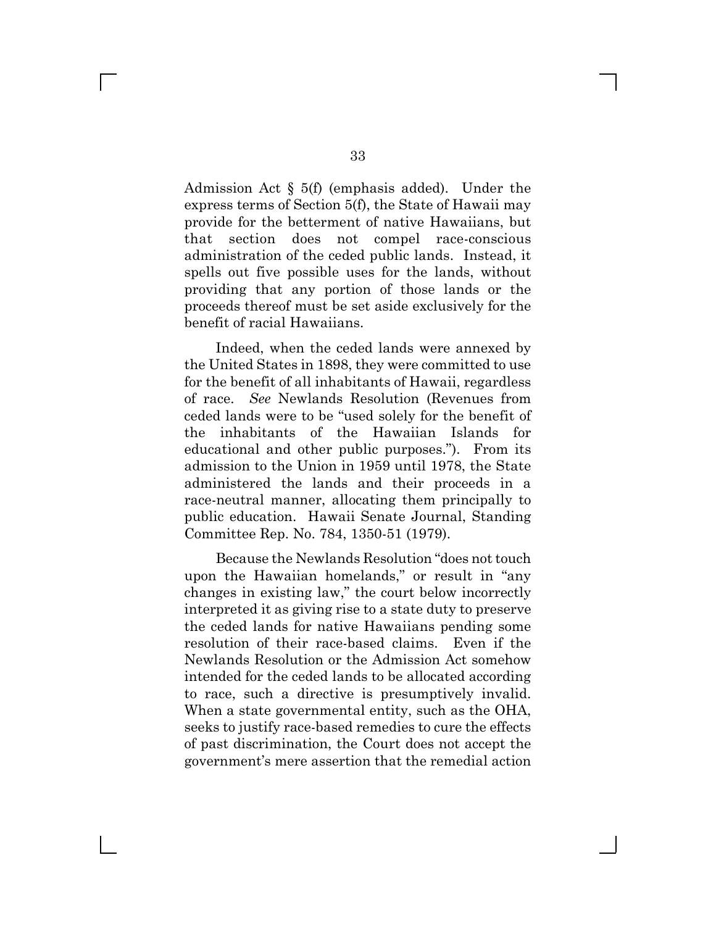Admission Act § 5(f) (emphasis added). Under the express terms of Section 5(f), the State of Hawaii may provide for the betterment of native Hawaiians, but that section does not compel race-conscious administration of the ceded public lands. Instead, it spells out five possible uses for the lands, without providing that any portion of those lands or the proceeds thereof must be set aside exclusively for the benefit of racial Hawaiians.

Indeed, when the ceded lands were annexed by the United States in 1898, they were committed to use for the benefit of all inhabitants of Hawaii, regardless of race. *See* Newlands Resolution (Revenues from ceded lands were to be "used solely for the benefit of the inhabitants of the Hawaiian Islands for educational and other public purposes."). From its admission to the Union in 1959 until 1978, the State administered the lands and their proceeds in a race-neutral manner, allocating them principally to public education. Hawaii Senate Journal, Standing Committee Rep. No. 784, 1350-51 (1979).

Because the Newlands Resolution "does not touch upon the Hawaiian homelands," or result in "any changes in existing law," the court below incorrectly interpreted it as giving rise to a state duty to preserve the ceded lands for native Hawaiians pending some resolution of their race-based claims. Even if the Newlands Resolution or the Admission Act somehow intended for the ceded lands to be allocated according to race, such a directive is presumptively invalid. When a state governmental entity, such as the OHA, seeks to justify race-based remedies to cure the effects of past discrimination, the Court does not accept the government's mere assertion that the remedial action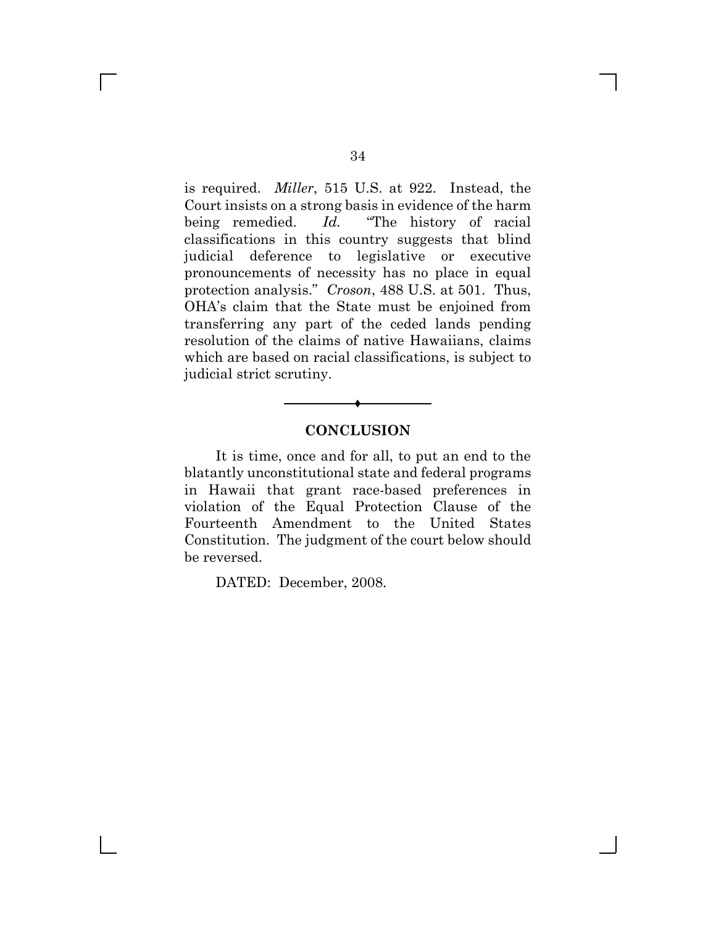is required. *Miller*, 515 U.S. at 922. Instead, the Court insists on a strong basis in evidence of the harm being remedied. *Id.* "The history of racial classifications in this country suggests that blind judicial deference to legislative or executive pronouncements of necessity has no place in equal protection analysis." *Croson*, 488 U.S. at 501. Thus, OHA's claim that the State must be enjoined from transferring any part of the ceded lands pending resolution of the claims of native Hawaiians, claims which are based on racial classifications, is subject to judicial strict scrutiny.

## **CONCLUSION**

Ë

It is time, once and for all, to put an end to the blatantly unconstitutional state and federal programs in Hawaii that grant race-based preferences in violation of the Equal Protection Clause of the Fourteenth Amendment to the United States Constitution. The judgment of the court below should be reversed.

DATED: December, 2008.

 $\Box$